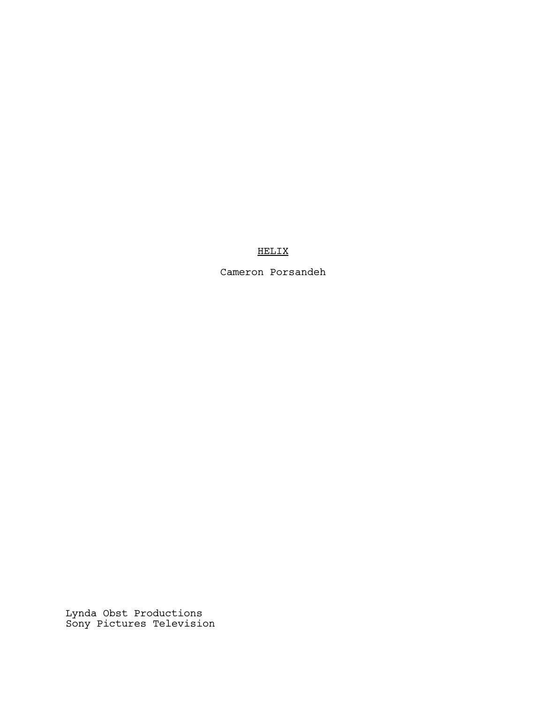HELIX

Cameron Porsandeh

Lynda Obst Productions Sony Pictures Television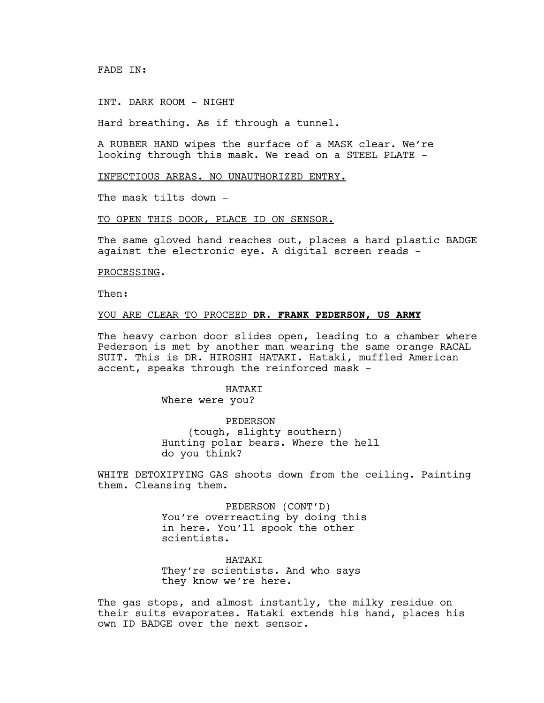FADE IN:

INT. DARK ROOM - NIGHT

Hard breathing. As if through a tunnel.

A RUBBER HAND wipes the surface of a MASK clear. We're looking through this mask. We read on a STEEL PLATE -

INFECTIOUS AREAS. NO UNAUTHORIZED ENTRY.

The mask tilts down -

TO OPEN THIS DOOR, PLACE ID ON SENSOR.

The same gloved hand reaches out, places a hard plastic BADGE against the electronic eye. A digital screen reads -

PROCESSING.

Then:

## YOU ARE CLEAR TO PROCEED **DR. FRANK PEDERSON, US ARMY**

The heavy carbon door slides open, leading to a chamber where Pederson is met by another man wearing the same orange RACAL SUIT. This is DR. HIROSHI HATAKI. Hataki, muffled American accent, speaks through the reinforced mask -

# HATAKI

Where were you?

### PEDERSON

(tough, slighty southern) Hunting polar bears. Where the hell do you think?

WHITE DETOXIFYING GAS shoots down from the ceiling. Painting them. Cleansing them.

> PEDERSON (CONT'D) You're overreacting by doing this in here. You'll spook the other scientists.

HATAKI They're scientists. And who says they know we're here.

The gas stops, and almost instantly, the milky residue on their suits evaporates. Hataki extends his hand, places his own ID BADGE over the next sensor.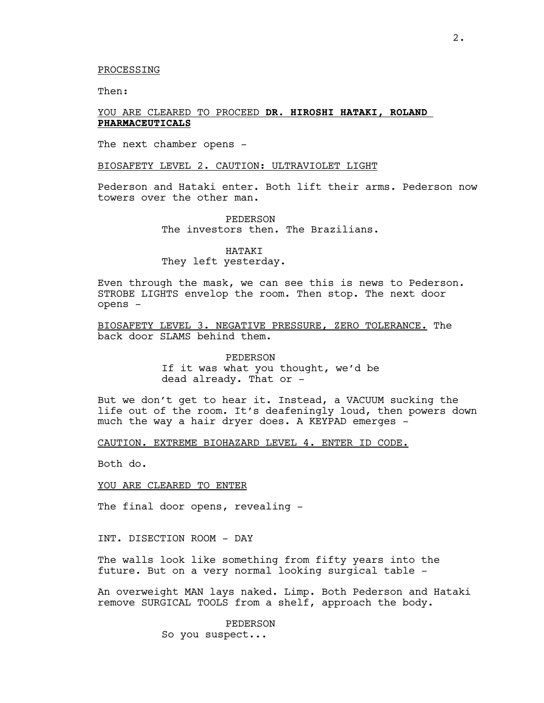#### PROCESSING

Then:

## YOU ARE CLEARED TO PROCEED **DR. HIROSHI HATAKI, ROLAND PHARMACEUTICALS**

The next chamber opens -

## BIOSAFETY LEVEL 2. CAUTION: ULTRAVIOLET LIGHT

Pederson and Hataki enter. Both lift their arms. Pederson now towers over the other man.

> PEDERSON The investors then. The Brazilians.

HATAKI They left yesterday.

Even through the mask, we can see this is news to Pederson. STROBE LIGHTS envelop the room. Then stop. The next door opens -

BIOSAFETY LEVEL 3. NEGATIVE PRESSURE, ZERO TOLERANCE. The back door SLAMS behind them.

> PEDERSON If it was what you thought, we'd be dead already. That or -

But we don't get to hear it. Instead, a VACUUM sucking the life out of the room. It's deafeningly loud, then powers down much the way a hair dryer does. A KEYPAD emerges -

CAUTION. EXTREME BIOHAZARD LEVEL 4. ENTER ID CODE.

Both do.

#### YOU ARE CLEARED TO ENTER

The final door opens, revealing -

INT. DISECTION ROOM - DAY

The walls look like something from fifty years into the future. But on a very normal looking surgical table -

An overweight MAN lays naked. Limp. Both Pederson and Hataki remove SURGICAL TOOLS from a shelf, approach the body.

> PEDERSON So you suspect...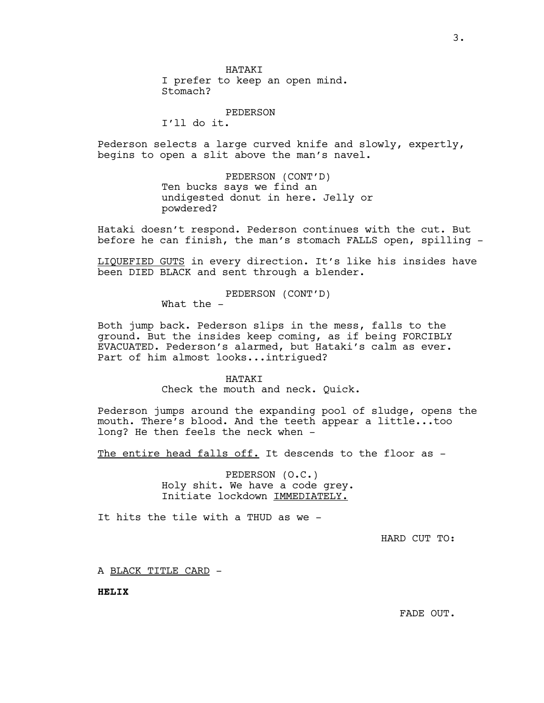PEDERSON

I'll do it.

Pederson selects a large curved knife and slowly, expertly, begins to open a slit above the man's navel.

> PEDERSON (CONT'D) Ten bucks says we find an undigested donut in here. Jelly or powdered?

Hataki doesn't respond. Pederson continues with the cut. But before he can finish, the man's stomach FALLS open, spilling -

LIQUEFIED GUTS in every direction. It's like his insides have been DIED BLACK and sent through a blender.

PEDERSON (CONT'D)

What the -

Both jump back. Pederson slips in the mess, falls to the ground. But the insides keep coming, as if being FORCIBLY EVACUATED. Pederson's alarmed, but Hataki's calm as ever. Part of him almost looks...intrigued?

> HATAKI Check the mouth and neck. Quick.

Pederson jumps around the expanding pool of sludge, opens the mouth. There's blood. And the teeth appear a little...too long? He then feels the neck when -

The entire head falls off. It descends to the floor as -

PEDERSON (O.C.) Holy shit. We have a code grey. Initiate lockdown IMMEDIATELY.

It hits the tile with a THUD as we -

HARD CUT TO:

A BLACK TITLE CARD -

**HELIX**

FADE OUT.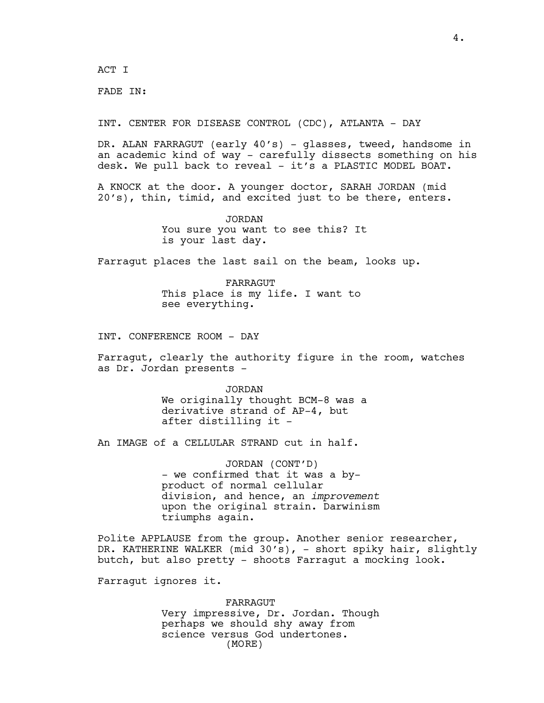ACT I

FADE IN:

INT. CENTER FOR DISEASE CONTROL (CDC), ATLANTA - DAY

DR. ALAN FARRAGUT (early 40's) - glasses, tweed, handsome in an academic kind of way - carefully dissects something on his desk. We pull back to reveal - it's a PLASTIC MODEL BOAT.

A KNOCK at the door. A younger doctor, SARAH JORDAN (mid 20's), thin, timid, and excited just to be there, enters.

> JORDAN You sure you want to see this? It is your last day.

Farragut places the last sail on the beam, looks up.

FARRAGUT This place is my life. I want to see everything.

INT. CONFERENCE ROOM - DAY

Farragut, clearly the authority figure in the room, watches as Dr. Jordan presents -

> JORDAN We originally thought BCM-8 was a derivative strand of AP-4, but after distilling it -

An IMAGE of a CELLULAR STRAND cut in half.

JORDAN (CONT'D) - we confirmed that it was a byproduct of normal cellular division, and hence, an *improvement* upon the original strain. Darwinism triumphs again.

Polite APPLAUSE from the group. Another senior researcher, DR. KATHERINE WALKER (mid 30's), - short spiky hair, slightly butch, but also pretty - shoots Farragut a mocking look.

Farragut ignores it.

FARRAGUT Very impressive, Dr. Jordan. Though perhaps we should shy away from science versus God undertones. (MORE)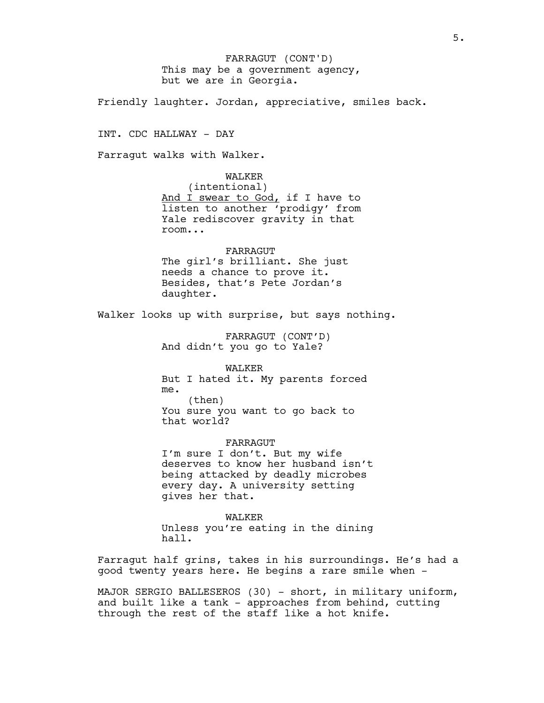This may be a government agency, but we are in Georgia. FARRAGUT (CONT'D)

Friendly laughter. Jordan, appreciative, smiles back.

INT. CDC HALLWAY - DAY

Farragut walks with Walker.

WALKER (intentional)

And I swear to God, if I have to listen to another 'prodigy' from Yale rediscover gravity in that room...

FARRAGUT The girl's brilliant. She just needs a chance to prove it. Besides, that's Pete Jordan's daughter.

Walker looks up with surprise, but says nothing.

FARRAGUT (CONT'D) And didn't you go to Yale?

WALKER But I hated it. My parents forced me. (then) You sure you want to go back to that world?

FARRAGUT I'm sure I don't. But my wife deserves to know her husband isn't being attacked by deadly microbes every day. A university setting gives her that.

WALKER Unless you're eating in the dining hall.

Farragut half grins, takes in his surroundings. He's had a good twenty years here. He begins a rare smile when -

MAJOR SERGIO BALLESEROS (30) - short, in military uniform, and built like a tank - approaches from behind, cutting through the rest of the staff like a hot knife.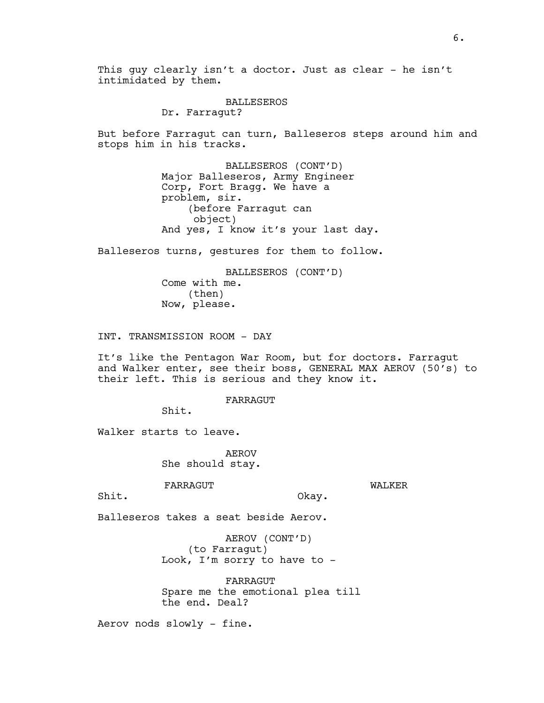This guy clearly isn't a doctor. Just as clear - he isn't intimidated by them.

BALLESEROS

Dr. Farragut?

But before Farragut can turn, Balleseros steps around him and stops him in his tracks.

> BALLESEROS (CONT'D) Major Balleseros, Army Engineer Corp, Fort Bragg. We have a problem, sir. (before Farragut can object) And yes, I know it's your last day.

Balleseros turns, gestures for them to follow.

BALLESEROS (CONT'D) Come with me. (then) Now, please.

INT. TRANSMISSION ROOM - DAY

It's like the Pentagon War Room, but for doctors. Farragut and Walker enter, see their boss, GENERAL MAX AEROV (50's) to their left. This is serious and they know it.

## FARRAGUT

Shit.

Walker starts to leave.

AEROV She should stay.

FARRAGUT

WALKER

Shit.

Okay.

Balleseros takes a seat beside Aerov.

AEROV (CONT'D) (to Farragut) Look, I'm sorry to have to -

FARRAGUT Spare me the emotional plea till the end. Deal?

Aerov nods slowly - fine.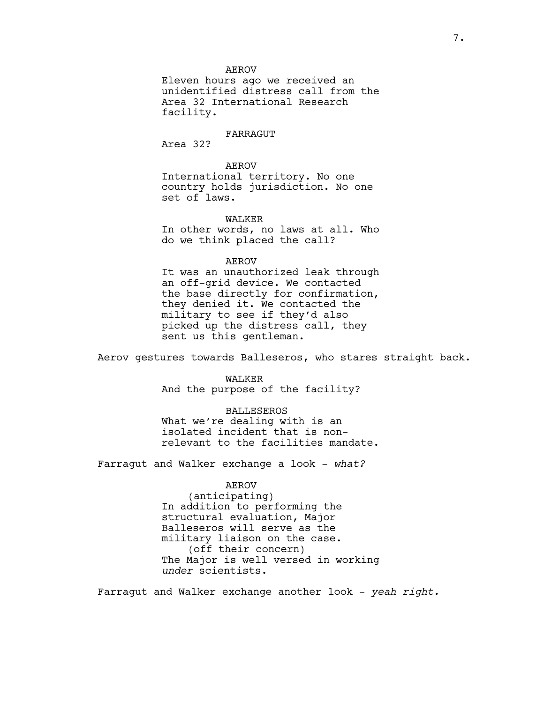### AEROV

Eleven hours ago we received an unidentified distress call from the Area 32 International Research facility.

## FARRAGUT

Area 32?

AEROV International territory. No one country holds jurisdiction. No one set of laws.

## WALKER

In other words, no laws at all. Who do we think placed the call?

#### AEROV

It was an unauthorized leak through an off-grid device. We contacted the base directly for confirmation, they denied it. We contacted the military to see if they'd also picked up the distress call, they sent us this gentleman.

Aerov gestures towards Balleseros, who stares straight back.

WALKER And the purpose of the facility?

### BALLESEROS

What we're dealing with is an isolated incident that is nonrelevant to the facilities mandate.

Farragut and Walker exchange a look - *what?*

## AEROV

(anticipating) In addition to performing the structural evaluation, Major Balleseros will serve as the military liaison on the case. (off their concern) The Major is well versed in working *under* scientists.

Farragut and Walker exchange another look - *yeah right.*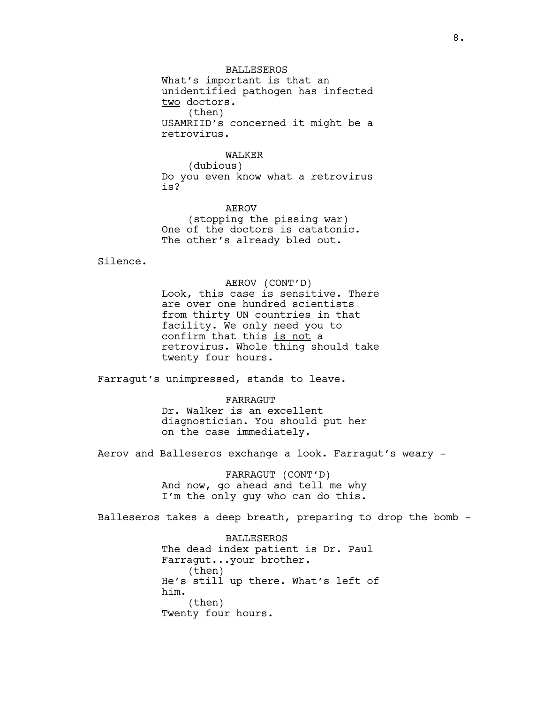What's important is that an unidentified pathogen has infected two doctors. (then) USAMRIID's concerned it might be a retrovirus.

## WALKER

(dubious) Do you even know what a retrovirus is?

AEROV (stopping the pissing war) One of the doctors is catatonic. The other's already bled out.

Silence.

AEROV (CONT'D) Look, this case is sensitive. There are over one hundred scientists from thirty UN countries in that facility. We only need you to confirm that this is not a retrovirus. Whole thing should take twenty four hours.

Farragut's unimpressed, stands to leave.

FARRAGUT Dr. Walker is an excellent diagnostician. You should put her on the case immediately.

Aerov and Balleseros exchange a look. Farragut's weary -

FARRAGUT (CONT'D) And now, go ahead and tell me why I'm the only guy who can do this.

Balleseros takes a deep breath, preparing to drop the bomb -

BALLESEROS The dead index patient is Dr. Paul Farragut...your brother. (then) He's still up there. What's left of him. (then) Twenty four hours.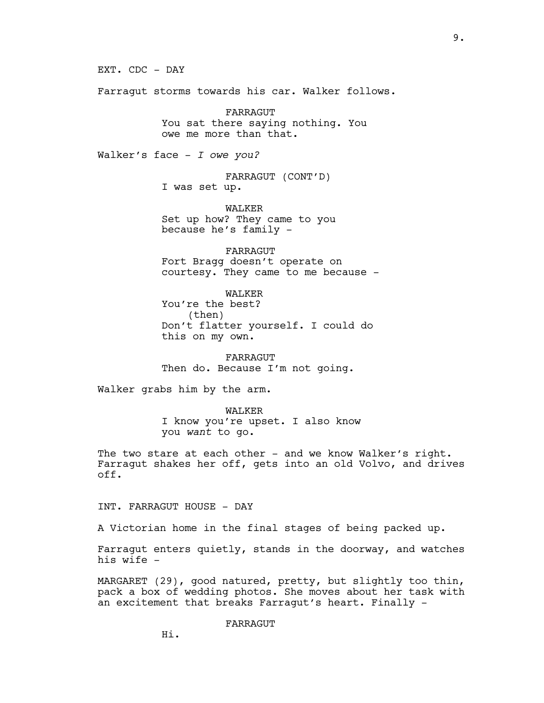Farragut storms towards his car. Walker follows. FARRAGUT You sat there saying nothing. You owe me more than that. Walker's face - *I owe you?* FARRAGUT (CONT'D) I was set up. WALKER

Set up how? They came to you because he's family -

FARRAGUT Fort Bragg doesn't operate on courtesy. They came to me because -

WALKER You're the best? (then) Don't flatter yourself. I could do this on my own.

FARRAGUT Then do. Because I'm not going.

Walker grabs him by the arm.

EXT. CDC - DAY

WALKER I know you're upset. I also know you *want* to go.

The two stare at each other - and we know Walker's right. Farragut shakes her off, gets into an old Volvo, and drives off.

INT. FARRAGUT HOUSE - DAY

A Victorian home in the final stages of being packed up.

Farragut enters quietly, stands in the doorway, and watches his wife -

MARGARET (29), good natured, pretty, but slightly too thin, pack a box of wedding photos. She moves about her task with an excitement that breaks Farragut's heart. Finally -

FARRAGUT

Hi.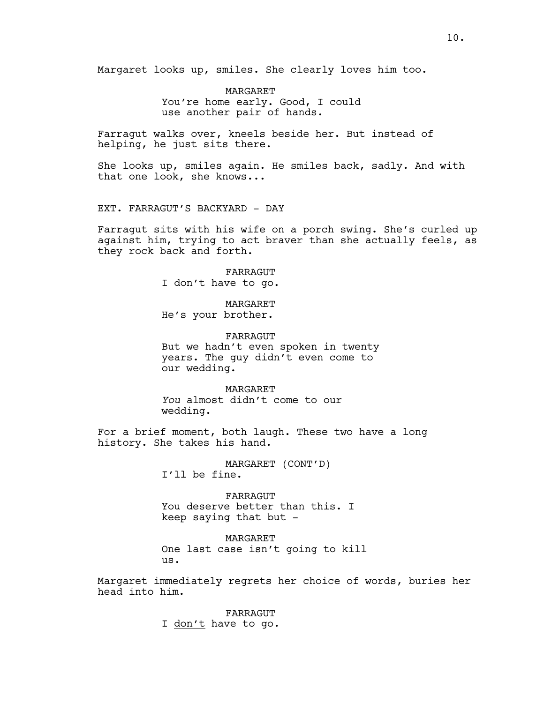Margaret looks up, smiles. She clearly loves him too.

MARGARET You're home early. Good, I could use another pair of hands.

Farragut walks over, kneels beside her. But instead of helping, he just sits there.

She looks up, smiles again. He smiles back, sadly. And with that one look, she knows...

EXT. FARRAGUT'S BACKYARD - DAY

Farragut sits with his wife on a porch swing. She's curled up against him, trying to act braver than she actually feels, as they rock back and forth.

> FARRAGUT I don't have to go.

MARGARET He's your brother.

FARRAGUT But we hadn't even spoken in twenty years. The guy didn't even come to our wedding.

MARGARET *You* almost didn't come to our wedding.

For a brief moment, both laugh. These two have a long history. She takes his hand.

> MARGARET (CONT'D) I'll be fine.

FARRAGUT You deserve better than this. I keep saying that but -

MARGARET One last case isn't going to kill us.

Margaret immediately regrets her choice of words, buries her head into him.

> FARRAGUT I don't have to go.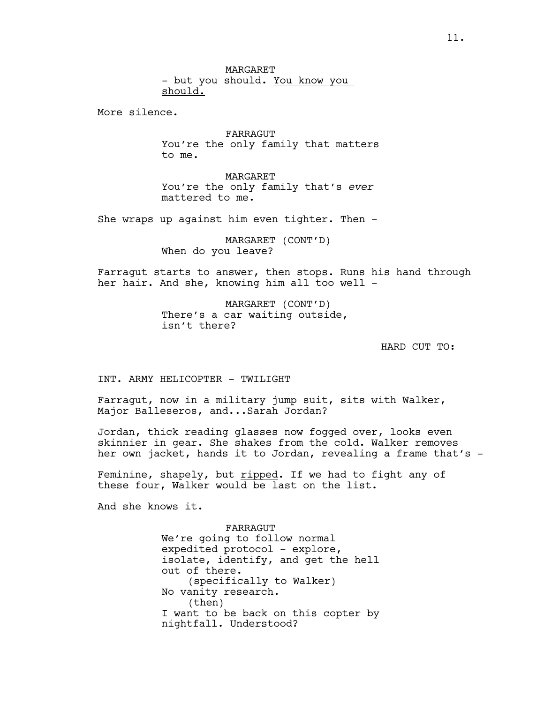MARGARET - but you should. You know you should.

More silence.

FARRAGUT You're the only family that matters to me.

MARGARET You're the only family that's *ever* mattered to me.

She wraps up against him even tighter. Then -

MARGARET (CONT'D) When do you leave?

Farragut starts to answer, then stops. Runs his hand through her hair. And she, knowing him all too well -

> MARGARET (CONT'D) There's a car waiting outside, isn't there?

> > HARD CUT TO:

INT. ARMY HELICOPTER - TWILIGHT

Farragut, now in a military jump suit, sits with Walker, Major Balleseros, and...Sarah Jordan?

Jordan, thick reading glasses now fogged over, looks even skinnier in gear. She shakes from the cold. Walker removes her own jacket, hands it to Jordan, revealing a frame that's -

Feminine, shapely, but ripped. If we had to fight any of these four, Walker would be last on the list.

And she knows it.

FARRAGUT We're going to follow normal expedited protocol - explore, isolate, identify, and get the hell out of there. (specifically to Walker) No vanity research. (then) I want to be back on this copter by nightfall. Understood?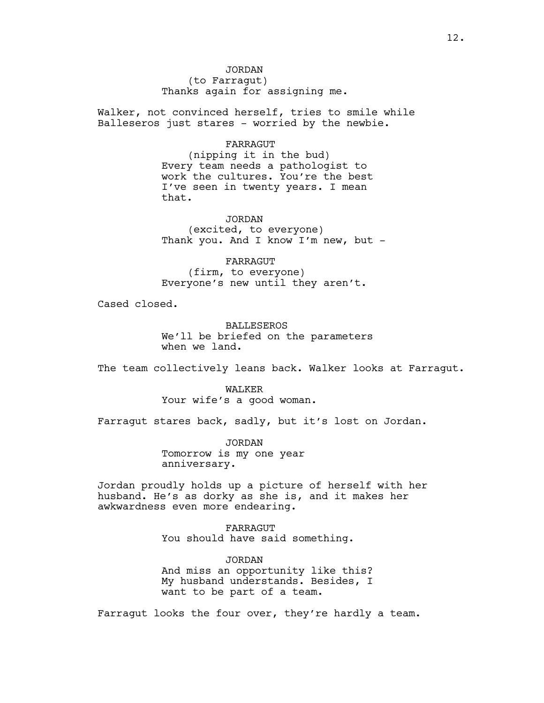JORDAN (to Farragut) Thanks again for assigning me.

Walker, not convinced herself, tries to smile while Balleseros just stares - worried by the newbie.

#### FARRAGUT

(nipping it in the bud) Every team needs a pathologist to work the cultures. You're the best I've seen in twenty years. I mean that.

# JORDAN

(excited, to everyone) Thank you. And I know I'm new, but -

FARRAGUT (firm, to everyone) Everyone's new until they aren't.

Cased closed.

BALLESEROS We'll be briefed on the parameters when we land.

The team collectively leans back. Walker looks at Farragut.

WALKER Your wife's a good woman.

Farragut stares back, sadly, but it's lost on Jordan.

JORDAN Tomorrow is my one year anniversary.

Jordan proudly holds up a picture of herself with her husband. He's as dorky as she is, and it makes her awkwardness even more endearing.

> FARRAGUT You should have said something.

JORDAN And miss an opportunity like this? My husband understands. Besides, I want to be part of a team.

Farragut looks the four over, they're hardly a team.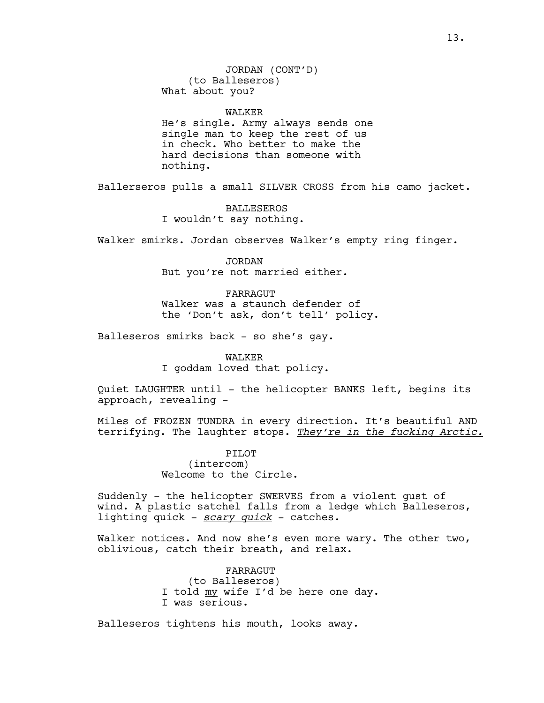JORDAN (CONT'D) (to Balleseros) What about you?

## WALKER

He's single. Army always sends one single man to keep the rest of us in check. Who better to make the hard decisions than someone with nothing.

Ballerseros pulls a small SILVER CROSS from his camo jacket.

BALLESEROS I wouldn't say nothing.

Walker smirks. Jordan observes Walker's empty ring finger.

JORDAN But you're not married either.

FARRAGUT Walker was a staunch defender of

the 'Don't ask, don't tell' policy.

Balleseros smirks back - so she's gay.

WALKER

I goddam loved that policy.

Quiet LAUGHTER until - the helicopter BANKS left, begins its approach, revealing -

Miles of FROZEN TUNDRA in every direction. It's beautiful AND terrifying. The laughter stops. *They're in the fucking Arctic.*

> PILOT (intercom) Welcome to the Circle.

Suddenly - the helicopter SWERVES from a violent gust of wind. A plastic satchel falls from a ledge which Balleseros, lighting quick - *scary quick* - catches.

Walker notices. And now she's even more wary. The other two, oblivious, catch their breath, and relax.

> FARRAGUT (to Balleseros) I told my wife I'd be here one day. I was serious.

Balleseros tightens his mouth, looks away.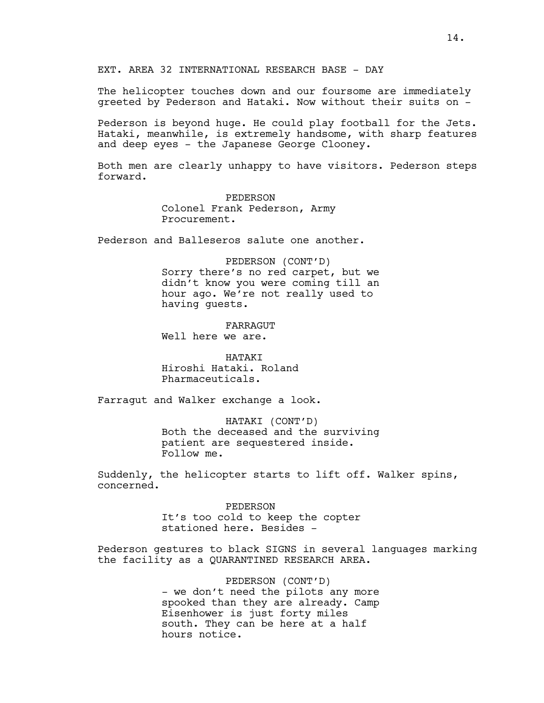The helicopter touches down and our foursome are immediately greeted by Pederson and Hataki. Now without their suits on -

Pederson is beyond huge. He could play football for the Jets. Hataki, meanwhile, is extremely handsome, with sharp features and deep eyes - the Japanese George Clooney.

Both men are clearly unhappy to have visitors. Pederson steps forward.

> PEDERSON Colonel Frank Pederson, Army Procurement.

Pederson and Balleseros salute one another.

PEDERSON (CONT'D) Sorry there's no red carpet, but we didn't know you were coming till an hour ago. We're not really used to having guests.

FARRAGUT Well here we are.

HATAKI Hiroshi Hataki. Roland Pharmaceuticals.

Farragut and Walker exchange a look.

HATAKI (CONT'D) Both the deceased and the surviving patient are sequestered inside. Follow me.

Suddenly, the helicopter starts to lift off. Walker spins, concerned.

> PEDERSON It's too cold to keep the copter stationed here. Besides -

Pederson gestures to black SIGNS in several languages marking the facility as a QUARANTINED RESEARCH AREA.

> PEDERSON (CONT'D) - we don't need the pilots any more spooked than they are already. Camp Eisenhower is just forty miles south. They can be here at a half hours notice.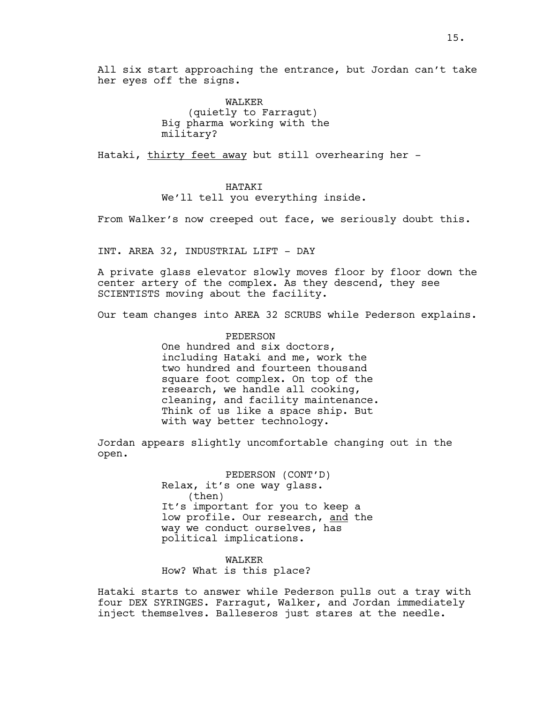WALKER (quietly to Farragut) Big pharma working with the military?

Hataki, thirty feet away but still overhearing her -

### HATAKI

We'll tell you everything inside.

From Walker's now creeped out face, we seriously doubt this.

INT. AREA 32, INDUSTRIAL LIFT - DAY

A private glass elevator slowly moves floor by floor down the center artery of the complex. As they descend, they see SCIENTISTS moving about the facility.

Our team changes into AREA 32 SCRUBS while Pederson explains.

PEDERSON One hundred and six doctors, including Hataki and me, work the two hundred and fourteen thousand square foot complex. On top of the research, we handle all cooking, cleaning, and facility maintenance. Think of us like a space ship. But with way better technology.

Jordan appears slightly uncomfortable changing out in the open.

> PEDERSON (CONT'D) Relax, it's one way glass. (then) It's important for you to keep a low profile. Our research, and the way we conduct ourselves, has political implications.

WALKER How? What is this place?

Hataki starts to answer while Pederson pulls out a tray with four DEX SYRINGES. Farragut, Walker, and Jordan immediately inject themselves. Balleseros just stares at the needle.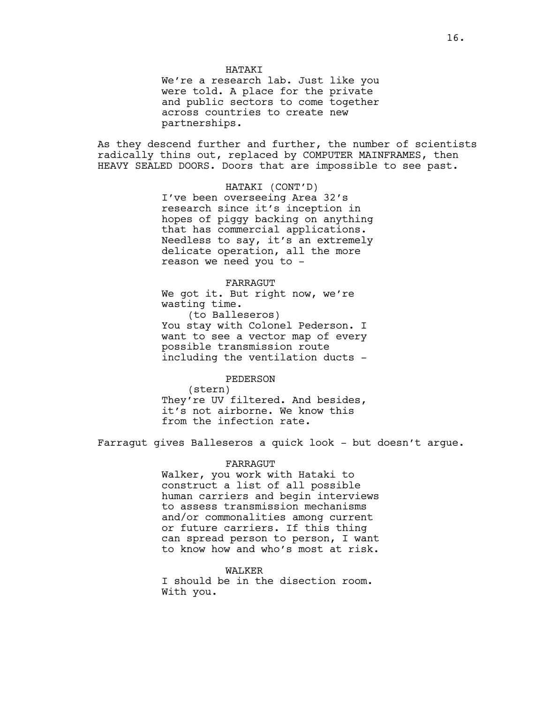#### HATAKI

We're a research lab. Just like you were told. A place for the private and public sectors to come together across countries to create new partnerships.

As they descend further and further, the number of scientists radically thins out, replaced by COMPUTER MAINFRAMES, then HEAVY SEALED DOORS. Doors that are impossible to see past.

> HATAKI (CONT'D) I've been overseeing Area 32's research since it's inception in hopes of piggy backing on anything that has commercial applications. Needless to say, it's an extremely delicate operation, all the more reason we need you to -

#### FARRAGUT

We got it. But right now, we're wasting time.

(to Balleseros) You stay with Colonel Pederson. I want to see a vector map of every possible transmission route including the ventilation ducts -

#### PEDERSON

(stern) They're UV filtered. And besides, it's not airborne. We know this from the infection rate.

Farragut gives Balleseros a quick look *-* but doesn't argue.

## FARRAGUT

Walker, you work with Hataki to construct a list of all possible human carriers and begin interviews to assess transmission mechanisms and/or commonalities among current or future carriers. If this thing can spread person to person, I want to know how and who's most at risk.

#### WALKER

I should be in the disection room. With you.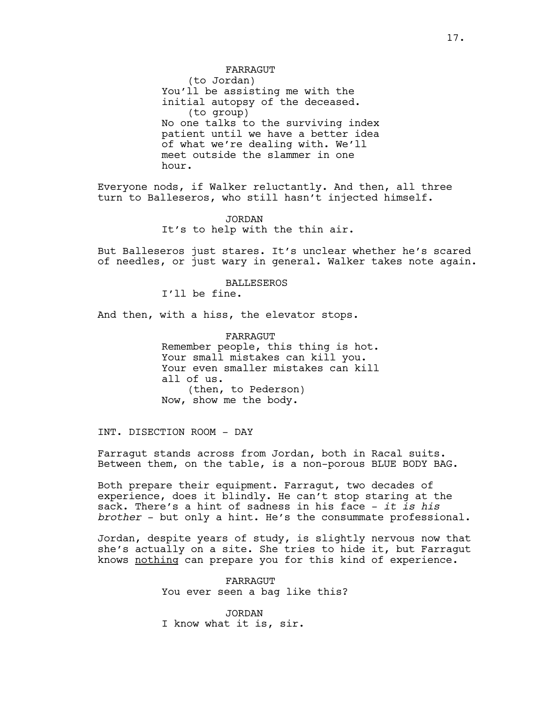FARRAGUT

(to Jordan) You'll be assisting me with the initial autopsy of the deceased. (to group) No one talks to the surviving index patient until we have a better idea of what we're dealing with. We'll meet outside the slammer in one hour.

Everyone nods, if Walker reluctantly. And then, all three turn to Balleseros, who still hasn't injected himself.

> JORDAN It's to help with the thin air.

But Balleseros just stares. It's unclear whether he's scared of needles, or just wary in general. Walker takes note again.

BALLESEROS

I'll be fine.

And then, with a hiss, the elevator stops.

FARRAGUT Remember people, this thing is hot. Your small mistakes can kill you. Your even smaller mistakes can kill all of us. (then, to Pederson) Now, show me the body.

INT. DISECTION ROOM - DAY

Farragut stands across from Jordan, both in Racal suits. Between them, on the table, is a non-porous BLUE BODY BAG.

Both prepare their equipment. Farragut, two decades of experience, does it blindly. He can't stop staring at the sack. There's a hint of sadness in his face - *it is his brother* - but only a hint. He's the consummate professional.

Jordan, despite years of study, is slightly nervous now that she's actually on a site. She tries to hide it, but Farragut knows nothing can prepare you for this kind of experience.

> FARRAGUT You ever seen a bag like this?

JORDAN I know what it is, sir.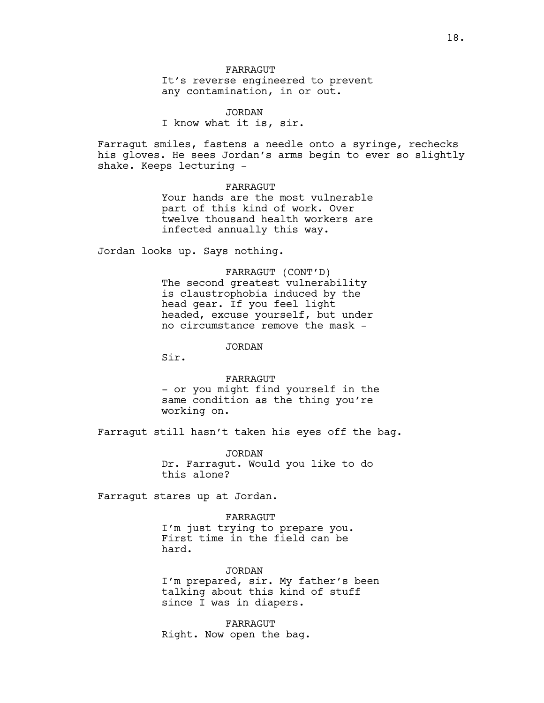It's reverse engineered to prevent any contamination, in or out.

JORDAN I know what it is, sir.

Farragut smiles, fastens a needle onto a syringe, rechecks his gloves. He sees Jordan's arms begin to ever so slightly shake. Keeps lecturing -

### FARRAGUT

Your hands are the most vulnerable part of this kind of work. Over twelve thousand health workers are infected annually this way.

Jordan looks up. Says nothing.

# FARRAGUT (CONT'D) The second greatest vulnerability is claustrophobia induced by the head gear. If you feel light headed, excuse yourself, but under no circumstance remove the mask -

JORDAN

Sir.

#### FARRAGUT

- or you might find yourself in the same condition as the thing you're working on.

Farragut still hasn't taken his eyes off the bag.

JORDAN

Dr. Farragut. Would you like to do this alone?

Farragut stares up at Jordan.

#### FARRAGUT

I'm just trying to prepare you. First time in the field can be hard.

## JORDAN

I'm prepared, sir. My father's been talking about this kind of stuff since I was in diapers.

FARRAGUT Right. Now open the bag.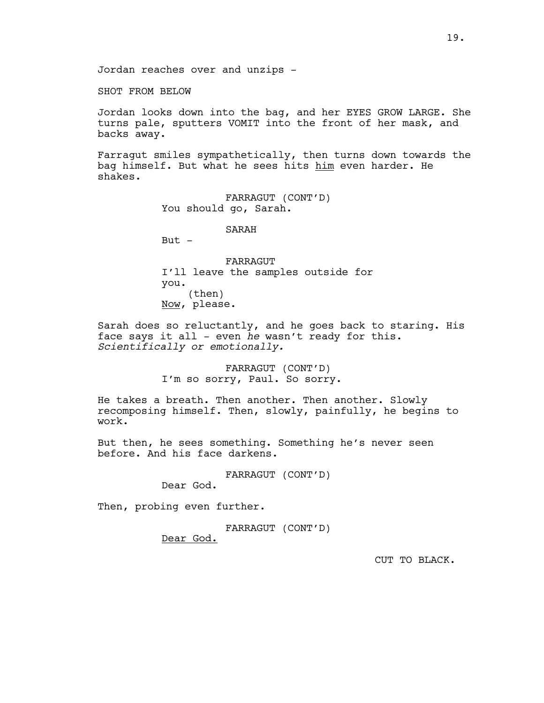Jordan reaches over and unzips -

SHOT FROM BELOW

Jordan looks down into the bag, and her EYES GROW LARGE. She turns pale, sputters VOMIT into the front of her mask, and backs away.

Farragut smiles sympathetically, then turns down towards the bag himself. But what he sees hits him even harder. He shakes.

> FARRAGUT (CONT'D) You should go, Sarah.

> > SARAH

But  $-$ 

FARRAGUT I'll leave the samples outside for you. (then) Now, please.

Sarah does so reluctantly, and he goes back to staring. His face says it all - even *he* wasn't ready for this. *Scientifically or emotionally.* 

> FARRAGUT (CONT'D) I'm so sorry, Paul. So sorry.

He takes a breath. Then another. Then another. Slowly recomposing himself. Then, slowly, painfully, he begins to work.

But then, he sees something. Something he's never seen before. And his face darkens.

FARRAGUT (CONT'D)

Dear God.

Then, probing even further.

FARRAGUT (CONT'D)

Dear God.

CUT TO BLACK.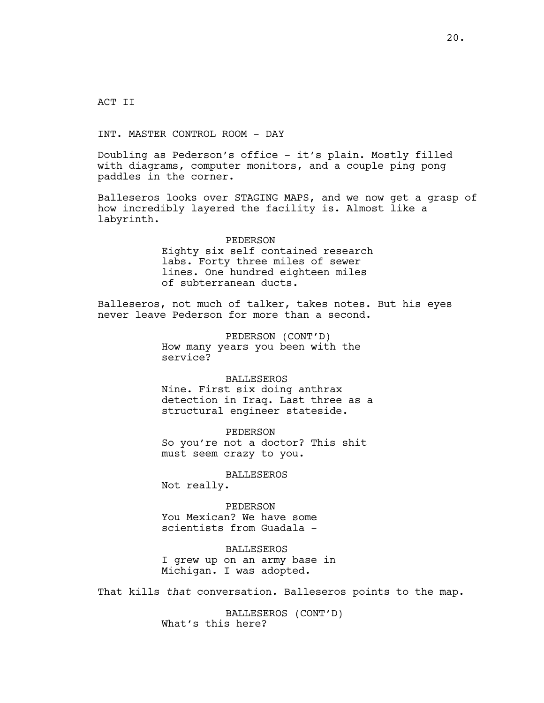ACT II

INT. MASTER CONTROL ROOM - DAY

Doubling as Pederson's office - it's plain. Mostly filled with diagrams, computer monitors, and a couple ping pong paddles in the corner.

Balleseros looks over STAGING MAPS, and we now get a grasp of how incredibly layered the facility is. Almost like a labyrinth.

> PEDERSON Eighty six self contained research labs. Forty three miles of sewer lines. One hundred eighteen miles of subterranean ducts.

Balleseros, not much of talker, takes notes. But his eyes never leave Pederson for more than a second.

> PEDERSON (CONT'D) How many years you been with the service?

# BALLESEROS

Nine. First six doing anthrax detection in Iraq. Last three as a structural engineer stateside.

PEDERSON So you're not a doctor? This shit must seem crazy to you.

BALLESEROS

Not really.

PEDERSON You Mexican? We have some scientists from Guadala -

BALLESEROS I grew up on an army base in Michigan. I was adopted.

That kills *that* conversation. Balleseros points to the map.

BALLESEROS (CONT'D) What's this here?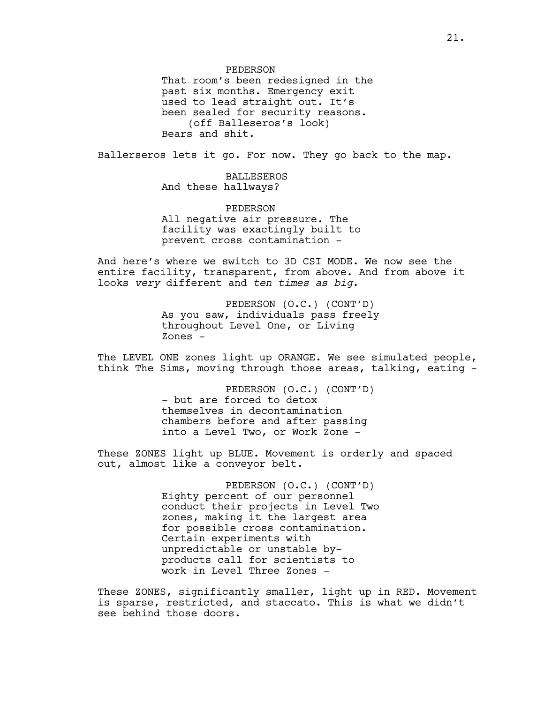PEDERSON

That room's been redesigned in the past six months. Emergency exit used to lead straight out. It's been sealed for security reasons. (off Balleseros's look) Bears and shit.

Ballerseros lets it go. For now. They go back to the map.

BALLESEROS And these hallways?

PEDERSON All negative air pressure. The facility was exactingly built to prevent cross contamination -

And here's where we switch to 3D CSI MODE. We now see the entire facility, transparent, from above. And from above it looks *very* different and *ten times as big*.

> PEDERSON (O.C.) (CONT'D) As you saw, individuals pass freely throughout Level One, or Living Zones -

The LEVEL ONE zones light up ORANGE. We see simulated people, think The Sims, moving through those areas, talking, eating -

> PEDERSON (O.C.) (CONT'D) - but are forced to detox themselves in decontamination chambers before and after passing into a Level Two, or Work Zone -

These ZONES light up BLUE. Movement is orderly and spaced out, almost like a conveyor belt.

> PEDERSON (O.C.) (CONT'D) Eighty percent of our personnel conduct their projects in Level Two zones, making it the largest area for possible cross contamination. Certain experiments with unpredictable or unstable byproducts call for scientists to work in Level Three Zones -

These ZONES, significantly smaller, light up in RED. Movement is sparse, restricted, and staccato. This is what we didn't see behind those doors.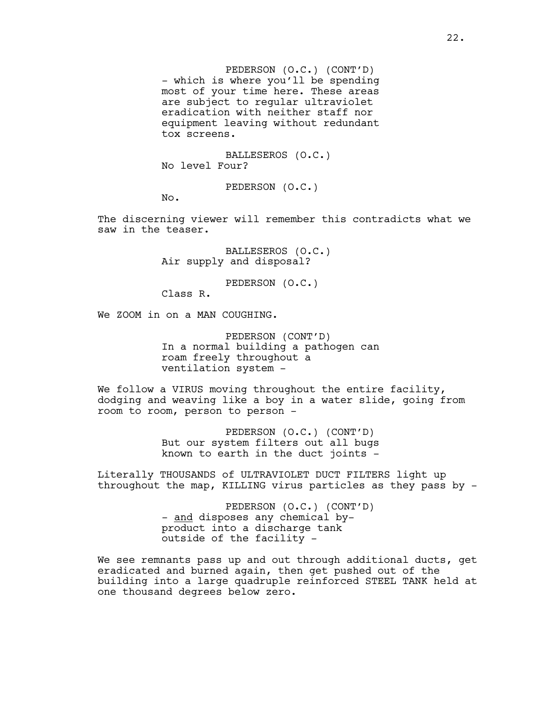PEDERSON (O.C.) (CONT'D) - which is where you'll be spending most of your time here. These areas are subject to regular ultraviolet eradication with neither staff nor equipment leaving without redundant tox screens.

BALLESEROS (O.C.) No level Four?

PEDERSON (O.C.)

No.

The discerning viewer will remember this contradicts what we saw in the teaser.

> BALLESEROS (O.C.) Air supply and disposal?

> > PEDERSON (O.C.)

Class R.

We ZOOM in on a MAN COUGHING.

PEDERSON (CONT'D) In a normal building a pathogen can roam freely throughout a ventilation system -

We follow a VIRUS moving throughout the entire facility, dodging and weaving like a boy in a water slide, going from room to room, person to person -

> PEDERSON (O.C.) (CONT'D) But our system filters out all bugs known to earth in the duct joints -

Literally THOUSANDS of ULTRAVIOLET DUCT FILTERS light up throughout the map, KILLING virus particles as they pass by -

> PEDERSON (O.C.) (CONT'D) - and disposes any chemical byproduct into a discharge tank outside of the facility -

We see remnants pass up and out through additional ducts, get eradicated and burned again, then get pushed out of the building into a large quadruple reinforced STEEL TANK held at one thousand degrees below zero.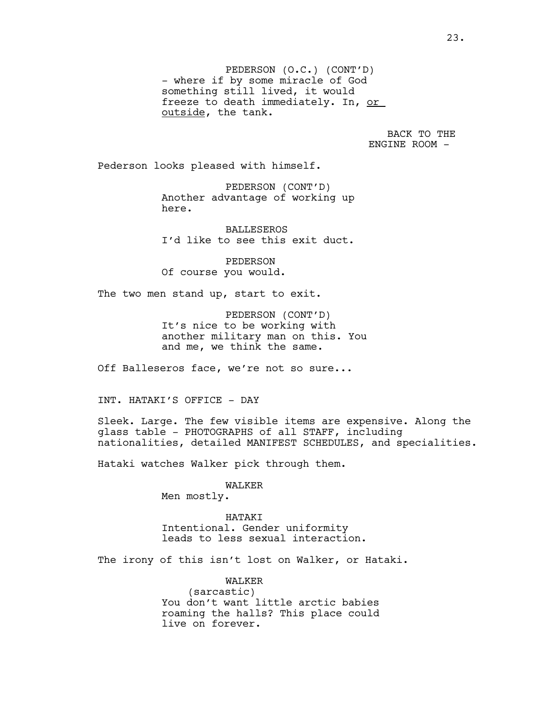PEDERSON (O.C.) (CONT'D) - where if by some miracle of God something still lived, it would freeze to death immediately. In, or outside, the tank.

> BACK TO THE ENGINE ROOM -

Pederson looks pleased with himself.

PEDERSON (CONT'D) Another advantage of working up here.

BALLESEROS I'd like to see this exit duct.

PEDERSON Of course you would.

The two men stand up, start to exit.

PEDERSON (CONT'D) It's nice to be working with another military man on this. You and me, we think the same.

Off Balleseros face, we're not so sure...

INT. HATAKI'S OFFICE - DAY

Sleek. Large. The few visible items are expensive. Along the glass table - PHOTOGRAPHS of all STAFF, including nationalities, detailed MANIFEST SCHEDULES, and specialities.

Hataki watches Walker pick through them.

WALKER

Men mostly.

HATAKI Intentional. Gender uniformity leads to less sexual interaction.

The irony of this isn't lost on Walker, or Hataki.

WALKER (sarcastic) You don't want little arctic babies roaming the halls? This place could live on forever.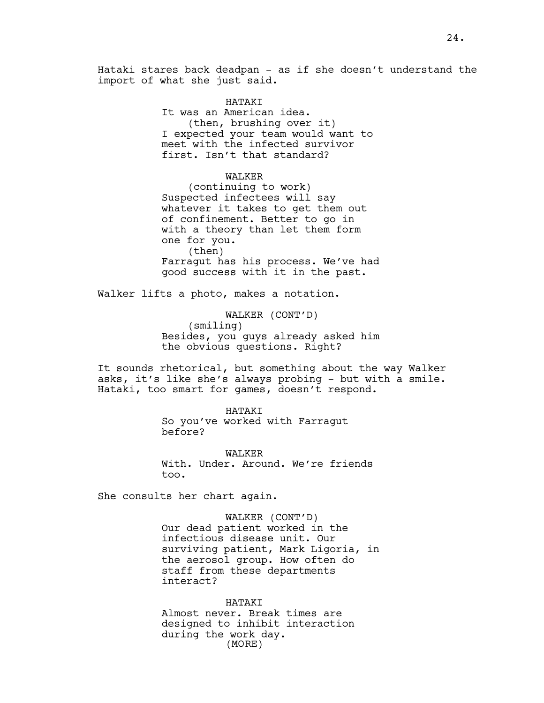Hataki stares back deadpan - as if she doesn't understand the import of what she just said.

## HATAKI

It was an American idea. (then, brushing over it) I expected your team would want to meet with the infected survivor first. Isn't that standard?

### WALKER

(continuing to work) Suspected infectees will say whatever it takes to get them out of confinement. Better to go in with a theory than let them form one for you. (then) Farragut has his process. We've had good success with it in the past.

Walker lifts a photo, makes a notation.

WALKER (CONT'D) (smiling) Besides, you guys already asked him the obvious questions. Right?

It sounds rhetorical, but something about the way Walker asks, it's like she's always probing - but with a smile. Hataki, too smart for games, doesn't respond.

> HATAKI So you've worked with Farragut before?

WALKER With. Under. Around. We're friends too.

She consults her chart again.

WALKER (CONT'D) Our dead patient worked in the infectious disease unit. Our surviving patient, Mark Ligoria, in the aerosol group. How often do staff from these departments interact?

HATAKI Almost never. Break times are designed to inhibit interaction during the work day. (MORE)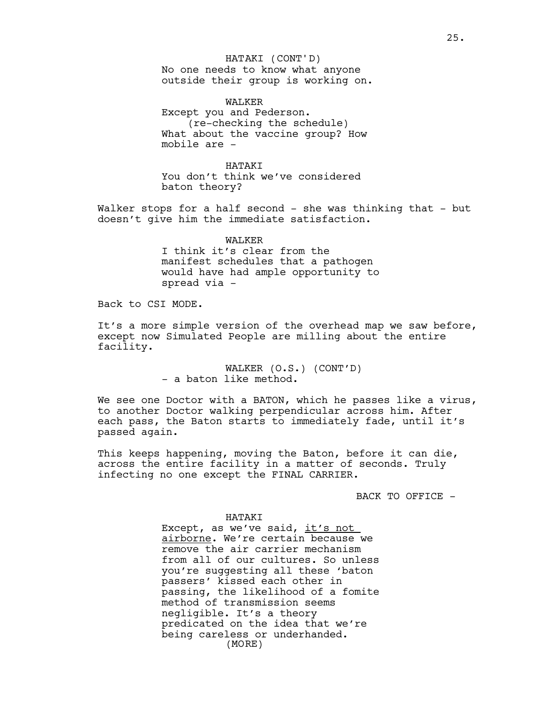## HATAKI (CONT'D)

No one needs to know what anyone outside their group is working on.

WALKER Except you and Pederson. (re-checking the schedule) What about the vaccine group? How mobile are -

HATAKI You don't think we've considered baton theory?

Walker stops for a half second - she was thinking that - but doesn't give him the immediate satisfaction.

> WALKER I think it's clear from the manifest schedules that a pathogen would have had ample opportunity to spread via -

Back to CSI MODE.

It's a more simple version of the overhead map we saw before, except now Simulated People are milling about the entire facility.

> WALKER (O.S.) (CONT'D) - a baton like method.

We see one Doctor with a BATON, which he passes like a virus, to another Doctor walking perpendicular across him. After each pass, the Baton starts to immediately fade, until it's passed again.

This keeps happening, moving the Baton, before it can die, across the entire facility in a matter of seconds. Truly infecting no one except the FINAL CARRIER.

BACK TO OFFICE -

HATAKI Except, as we've said, it's not airborne. We're certain because we remove the air carrier mechanism from all of our cultures. So unless you're suggesting all these 'baton passers' kissed each other in passing, the likelihood of a fomite method of transmission seems negligible. It's a theory predicated on the idea that we're being careless or underhanded. (MORE)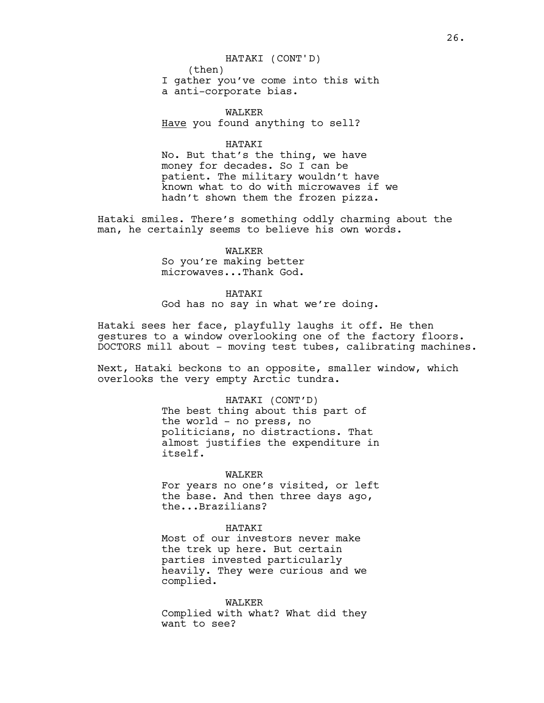## HATAKI (CONT'D)

(then)

I gather you've come into this with a anti-corporate bias.

WALKER Have you found anything to sell?

#### HATAKI

No. But that's the thing, we have money for decades. So I can be patient. The military wouldn't have known what to do with microwaves if we hadn't shown them the frozen pizza.

Hataki smiles. There's something oddly charming about the man, he certainly seems to believe his own words.

# WALKER So you're making better microwaves...Thank God.

### HATAKI

God has no say in what we're doing.

Hataki sees her face, playfully laughs it off. He then gestures to a window overlooking one of the factory floors. DOCTORS mill about - moving test tubes, calibrating machines.

Next, Hataki beckons to an opposite, smaller window, which overlooks the very empty Arctic tundra.

> HATAKI (CONT'D) The best thing about this part of the world - no press, no politicians, no distractions. That almost justifies the expenditure in itself.

## WALKER

For years no one's visited, or left the base. And then three days ago, the...Brazilians?

### HATAKI

Most of our investors never make the trek up here. But certain parties invested particularly heavily. They were curious and we complied.

WALKER Complied with what? What did they want to see?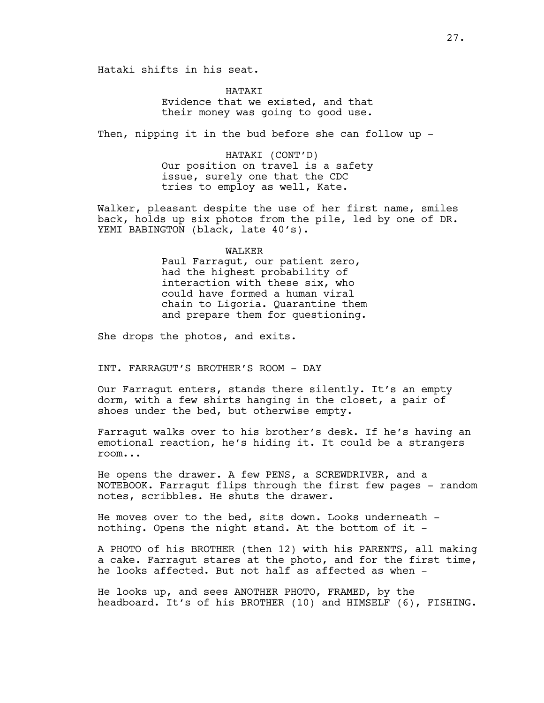Hataki shifts in his seat.

HATAKI Evidence that we existed, and that their money was going to good use.

Then, nipping it in the bud before she can follow up -

HATAKI (CONT'D) Our position on travel is a safety issue, surely one that the CDC tries to employ as well, Kate.

Walker, pleasant despite the use of her first name, smiles back, holds up six photos from the pile, led by one of DR. YEMI BABINGTON (black, late 40's).

## WALKER

Paul Farragut, our patient zero, had the highest probability of interaction with these six, who could have formed a human viral chain to Ligoria. Quarantine them and prepare them for questioning.

She drops the photos, and exits.

INT. FARRAGUT'S BROTHER'S ROOM - DAY

Our Farragut enters, stands there silently. It's an empty dorm, with a few shirts hanging in the closet, a pair of shoes under the bed, but otherwise empty.

Farragut walks over to his brother's desk. If he's having an emotional reaction, he's hiding it. It could be a strangers room...

He opens the drawer. A few PENS, a SCREWDRIVER, and a NOTEBOOK. Farragut flips through the first few pages - random notes, scribbles. He shuts the drawer.

He moves over to the bed, sits down. Looks underneath nothing. Opens the night stand. At the bottom of it -

A PHOTO of his BROTHER (then 12) with his PARENTS, all making a cake. Farragut stares at the photo, and for the first time, he looks affected. But not half as affected as when -

He looks up, and sees ANOTHER PHOTO, FRAMED, by the headboard. It's of his BROTHER (10) and HIMSELF (6), FISHING.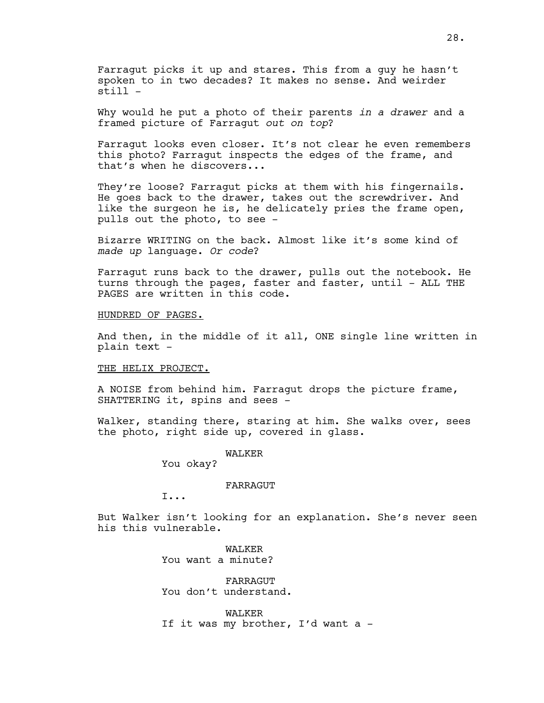Farragut picks it up and stares. This from a guy he hasn't spoken to in two decades? It makes no sense. And weirder still -

Why would he put a photo of their parents *in a drawer* and a framed picture of Farragut *out on top*?

Farragut looks even closer. It's not clear he even remembers this photo? Farragut inspects the edges of the frame, and that's when he discovers...

They're loose? Farragut picks at them with his fingernails. He goes back to the drawer, takes out the screwdriver. And like the surgeon he is, he delicately pries the frame open, pulls out the photo, to see -

Bizarre WRITING on the back. Almost like it's some kind of *made up* language. *Or code*?

Farragut runs back to the drawer, pulls out the notebook. He turns through the pages, faster and faster, until - ALL THE PAGES are written in this code.

## HUNDRED OF PAGES.

And then, in the middle of it all, ONE single line written in plain text -

### THE HELIX PROJECT.

A NOISE from behind him. Farragut drops the picture frame, SHATTERING it, spins and sees -

Walker, standing there, staring at him. She walks over, sees the photo, right side up, covered in glass.

WALKER

You okay?

## FARRAGUT

I...

But Walker isn't looking for an explanation. She's never seen his this vulnerable.

> WALKER You want a minute?

FARRAGUT You don't understand.

WALKER If it was my brother, I'd want a -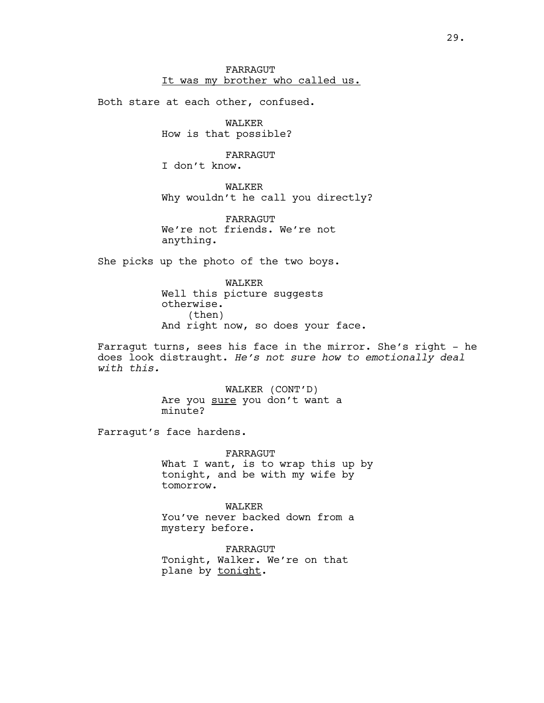## FARRAGUT It was my brother who called us.

Both stare at each other, confused.

WALKER How is that possible?

FARRAGUT I don't know.

WALKER Why wouldn't he call you directly?

FARRAGUT We're not friends. We're not anything.

She picks up the photo of the two boys.

WALKER Well this picture suggests otherwise. (then) And right now, so does your face.

Farragut turns, sees his face in the mirror. She's right - he does look distraught. *He's not sure how to emotionally deal with this.*

> WALKER (CONT'D) Are you sure you don't want a minute?

Farragut's face hardens.

FARRAGUT What I want, is to wrap this up by tonight, and be with my wife by tomorrow.

WALKER You've never backed down from a mystery before.

FARRAGUT Tonight, Walker. We're on that plane by tonight.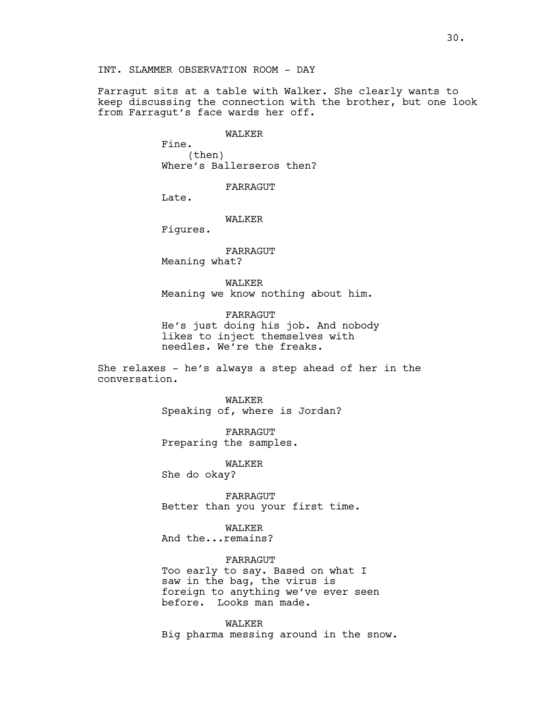Farragut sits at a table with Walker. She clearly wants to keep discussing the connection with the brother, but one look from Farragut's face wards her off.

## WALKER

Fine. (then) Where's Ballerseros then?

FARRAGUT

Late.

WALKER

Figures.

FARRAGUT Meaning what?

WALKER Meaning we know nothing about him.

FARRAGUT He's just doing his job. And nobody likes to inject themselves with needles. We're the freaks.

She relaxes - he's always a step ahead of her in the conversation.

> WALKER Speaking of, where is Jordan?

FARRAGUT Preparing the samples.

WALKER

She do okay?

FARRAGUT Better than you your first time.

WALKER And the...remains?

FARRAGUT

Too early to say. Based on what I saw in the bag, the virus is foreign to anything we've ever seen before. Looks man made.

WALKER Big pharma messing around in the snow.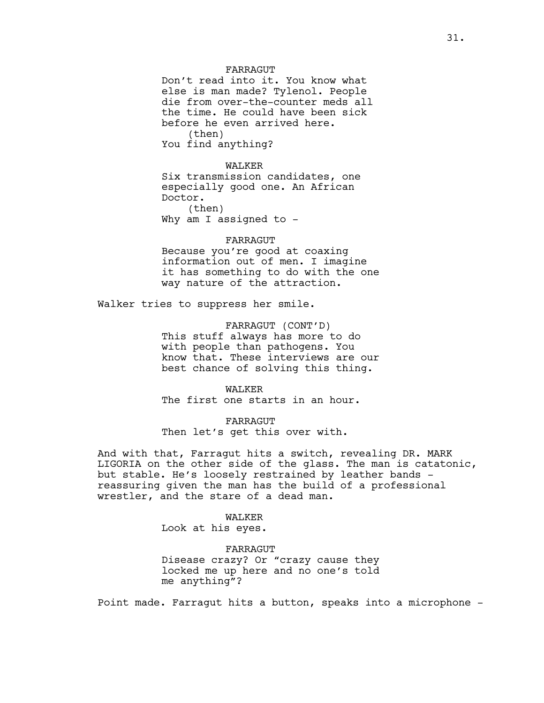### FARRAGUT

Don't read into it. You know what else is man made? Tylenol. People die from over-the-counter meds all the time. He could have been sick before he even arrived here. (then) You find anything?

WALKER

Six transmission candidates, one especially good one. An African Doctor. (then) Why am I assigned to -

#### FARRAGUT

Because you're good at coaxing information out of men. I imagine it has something to do with the one way nature of the attraction.

Walker tries to suppress her smile.

FARRAGUT (CONT'D) This stuff always has more to do with people than pathogens. You know that. These interviews are our best chance of solving this thing.

WALKER The first one starts in an hour.

FARRAGUT Then let's get this over with.

And with that, Farragut hits a switch, revealing DR. MARK LIGORIA on the other side of the glass. The man is catatonic, but stable. He's loosely restrained by leather bands reassuring given the man has the build of a professional wrestler, and the stare of a dead man.

## WALKER

Look at his eyes.

FARRAGUT Disease crazy? Or "crazy cause they locked me up here and no one's told me anything"?

Point made. Farragut hits a button, speaks into a microphone -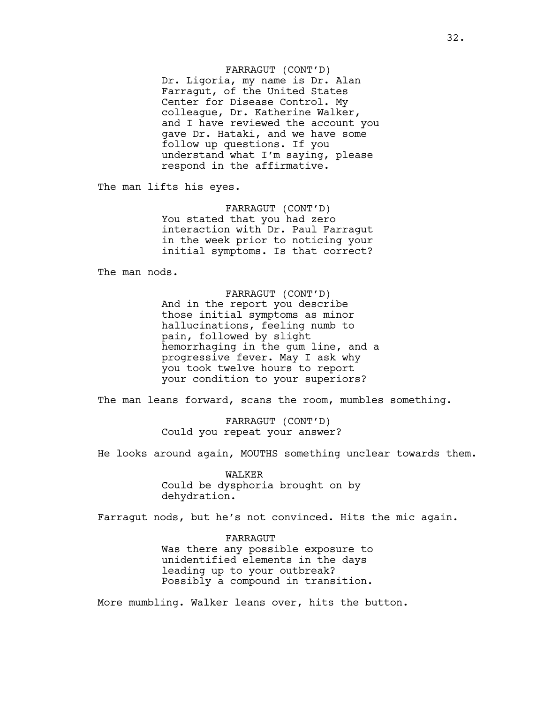## FARRAGUT (CONT'D)

Dr. Ligoria, my name is Dr. Alan Farragut, of the United States Center for Disease Control. My colleague, Dr. Katherine Walker, and I have reviewed the account you gave Dr. Hataki, and we have some follow up questions. If you understand what I'm saying, please respond in the affirmative.

The man lifts his eyes.

FARRAGUT (CONT'D) You stated that you had zero interaction with Dr. Paul Farragut in the week prior to noticing your initial symptoms. Is that correct?

The man nods.

# FARRAGUT (CONT'D) And in the report you describe those initial symptoms as minor hallucinations, feeling numb to pain, followed by slight hemorrhaging in the gum line, and a progressive fever. May I ask why you took twelve hours to report your condition to your superiors?

The man leans forward, scans the room, mumbles something.

FARRAGUT (CONT'D) Could you repeat your answer?

He looks around again, MOUTHS something unclear towards them.

WALKER Could be dysphoria brought on by dehydration.

Farragut nods, but he's not convinced. Hits the mic again.

#### FARRAGUT

Was there any possible exposure to unidentified elements in the days leading up to your outbreak? Possibly a compound in transition.

More mumbling. Walker leans over, hits the button.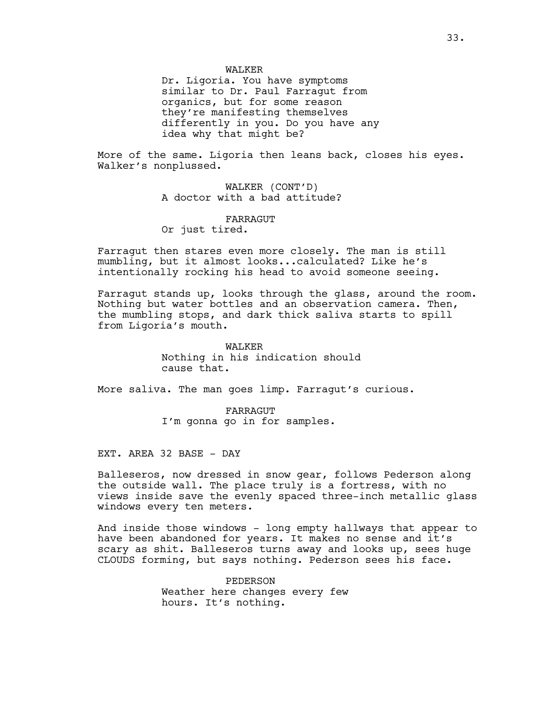WALKER

Dr. Ligoria. You have symptoms similar to Dr. Paul Farragut from organics, but for some reason they're manifesting themselves differently in you. Do you have any idea why that might be?

More of the same. Ligoria then leans back, closes his eyes. Walker's nonplussed.

> WALKER (CONT'D) A doctor with a bad attitude?

> > FARRAGUT

Or just tired.

Farragut then stares even more closely. The man is still mumbling, but it almost looks...calculated? Like he's intentionally rocking his head to avoid someone seeing.

Farragut stands up, looks through the glass, around the room. Nothing but water bottles and an observation camera. Then, the mumbling stops, and dark thick saliva starts to spill from Ligoria's mouth.

> WALKER Nothing in his indication should cause that.

More saliva. The man goes limp. Farragut's curious.

FARRAGUT I'm gonna go in for samples.

EXT. AREA 32 BASE - DAY

Balleseros, now dressed in snow gear, follows Pederson along the outside wall. The place truly is a fortress, with no views inside save the evenly spaced three-inch metallic glass windows every ten meters.

And inside those windows - long empty hallways that appear to have been abandoned for years. It makes no sense and it's scary as shit. Balleseros turns away and looks up, sees huge CLOUDS forming, but says nothing. Pederson sees his face.

> PEDERSON Weather here changes every few hours. It's nothing.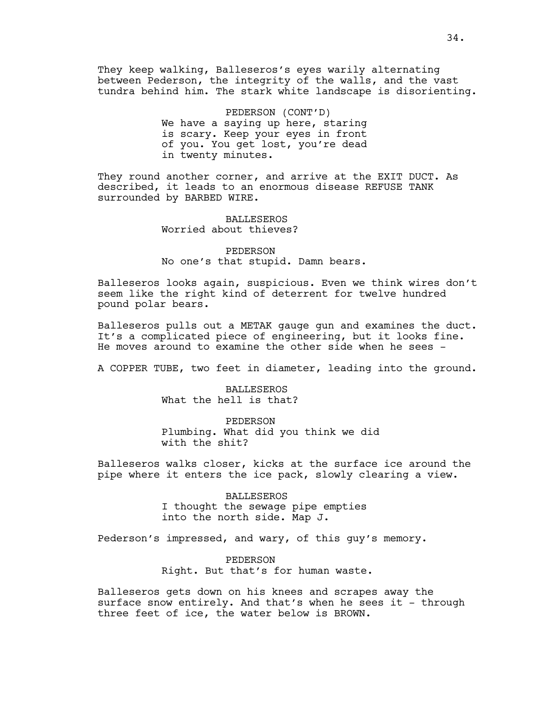They keep walking, Balleseros's eyes warily alternating between Pederson, the integrity of the walls, and the vast tundra behind him. The stark white landscape is disorienting.

> PEDERSON (CONT'D) We have a saying up here, staring is scary. Keep your eyes in front of you. You get lost, you're dead in twenty minutes.

They round another corner, and arrive at the EXIT DUCT. As described, it leads to an enormous disease REFUSE TANK surrounded by BARBED WIRE.

> BALLESEROS Worried about thieves?

PEDERSON No one's that stupid. Damn bears.

Balleseros looks again, suspicious. Even we think wires don't seem like the right kind of deterrent for twelve hundred pound polar bears.

Balleseros pulls out a METAK gauge gun and examines the duct. It's a complicated piece of engineering, but it looks fine. He moves around to examine the other side when he sees -

A COPPER TUBE, two feet in diameter, leading into the ground.

BALLESEROS What the hell is that?

PEDERSON Plumbing. What did you think we did with the shit?

Balleseros walks closer, kicks at the surface ice around the pipe where it enters the ice pack, slowly clearing a view.

> BALLESEROS I thought the sewage pipe empties into the north side. Map J.

Pederson's impressed, and wary, of this guy's memory.

PEDERSON Right. But that's for human waste.

Balleseros gets down on his knees and scrapes away the surface snow entirely. And that's when he sees it - through three feet of ice, the water below is BROWN.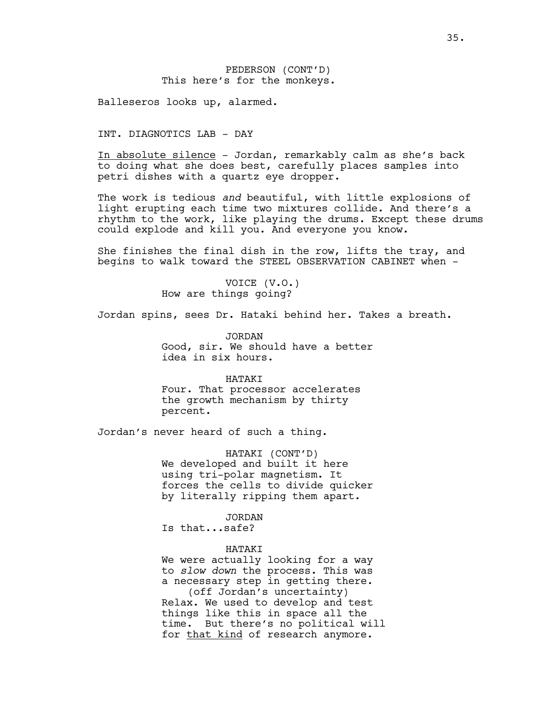Balleseros looks up, alarmed.

INT. DIAGNOTICS LAB - DAY

In absolute silence - Jordan, remarkably calm as she's back to doing what she does best, carefully places samples into petri dishes with a quartz eye dropper.

The work is tedious *and* beautiful, with little explosions of light erupting each time two mixtures collide. And there's a rhythm to the work, like playing the drums. Except these drums could explode and kill you. And everyone you know.

She finishes the final dish in the row, lifts the tray, and begins to walk toward the STEEL OBSERVATION CABINET when -

> VOICE (V.O.) How are things going?

Jordan spins, sees Dr. Hataki behind her. Takes a breath.

JORDAN Good, sir. We should have a better idea in six hours.

HATAKI

Four. That processor accelerates the growth mechanism by thirty percent.

Jordan's never heard of such a thing.

HATAKI (CONT'D) We developed and built it here using tri-polar magnetism. It forces the cells to divide quicker by literally ripping them apart.

JORDAN

Is that...safe?

## HATAKI

We were actually looking for a way to *slow down* the process. This was a necessary step in getting there. (off Jordan's uncertainty) Relax. We used to develop and test things like this in space all the time. But there's no political will for that kind of research anymore.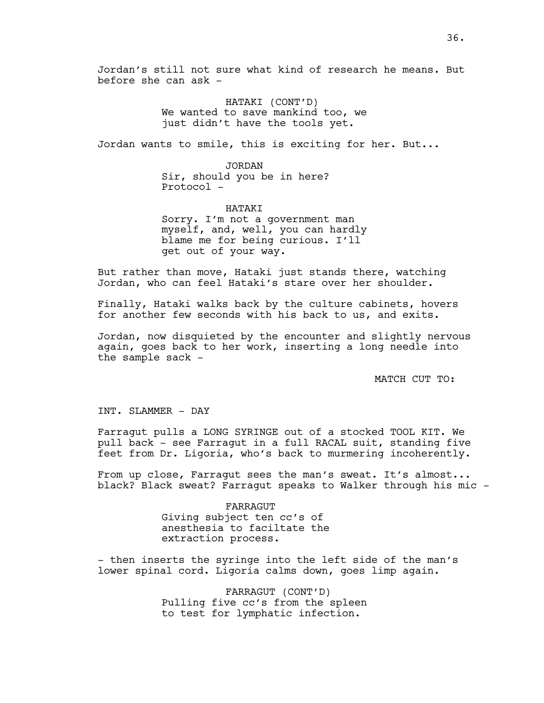Jordan's still not sure what kind of research he means. But before she can ask -

> HATAKI (CONT'D) We wanted to save mankind too, we just didn't have the tools yet.

Jordan wants to smile, this is exciting for her. But...

JORDAN Sir, should you be in here? Protocol -

HATAKI Sorry. I'm not a government man myself, and, well, you can hardly blame me for being curious. I'll get out of your way.

But rather than move, Hataki just stands there, watching Jordan, who can feel Hataki's stare over her shoulder.

Finally, Hataki walks back by the culture cabinets, hovers for another few seconds with his back to us, and exits.

Jordan, now disquieted by the encounter and slightly nervous again, goes back to her work, inserting a long needle into the sample sack -

MATCH CUT TO:

INT. SLAMMER - DAY

Farragut pulls a LONG SYRINGE out of a stocked TOOL KIT. We pull back - see Farragut in a full RACAL suit, standing five feet from Dr. Ligoria, who's back to murmering incoherently.

From up close, Farragut sees the man's sweat. It's almost... black? Black sweat? Farragut speaks to Walker through his mic -

> FARRAGUT Giving subject ten cc's of anesthesia to faciltate the extraction process.

- then inserts the syringe into the left side of the man's lower spinal cord. Ligoria calms down, goes limp again.

> FARRAGUT (CONT'D) Pulling five cc's from the spleen to test for lymphatic infection.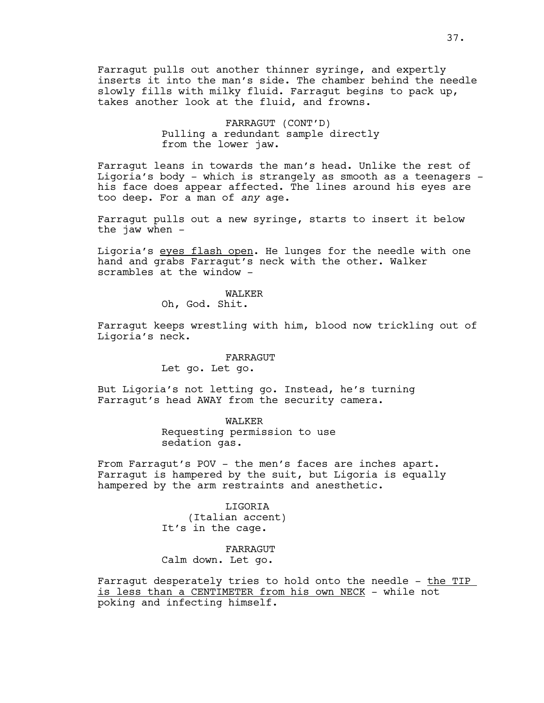Farragut pulls out another thinner syringe, and expertly inserts it into the man's side. The chamber behind the needle slowly fills with milky fluid. Farragut begins to pack up, takes another look at the fluid, and frowns.

> FARRAGUT (CONT'D) Pulling a redundant sample directly from the lower jaw.

Farragut leans in towards the man's head. Unlike the rest of Ligoria's body - which is strangely as smooth as a teenagers his face does appear affected. The lines around his eyes are too deep. For a man of *any* age.

Farragut pulls out a new syringe, starts to insert it below the jaw when  $-$ 

Ligoria's eyes flash open. He lunges for the needle with one hand and grabs Farragut's neck with the other. Walker scrambles at the window -

> WALKER Oh, God. Shit.

Farragut keeps wrestling with him, blood now trickling out of Ligoria's neck.

#### FARRAGUT

Let go. Let go.

But Ligoria's not letting go. Instead, he's turning Farragut's head AWAY from the security camera.

> WALKER Requesting permission to use sedation gas.

From Farragut's POV - the men's faces are inches apart. Farragut is hampered by the suit, but Ligoria is equally hampered by the arm restraints and anesthetic.

> LIGORIA (Italian accent) It's in the cage.

FARRAGUT Calm down. Let go.

Farragut desperately tries to hold onto the needle - the TIP is less than a CENTIMETER from his own NECK - while not poking and infecting himself.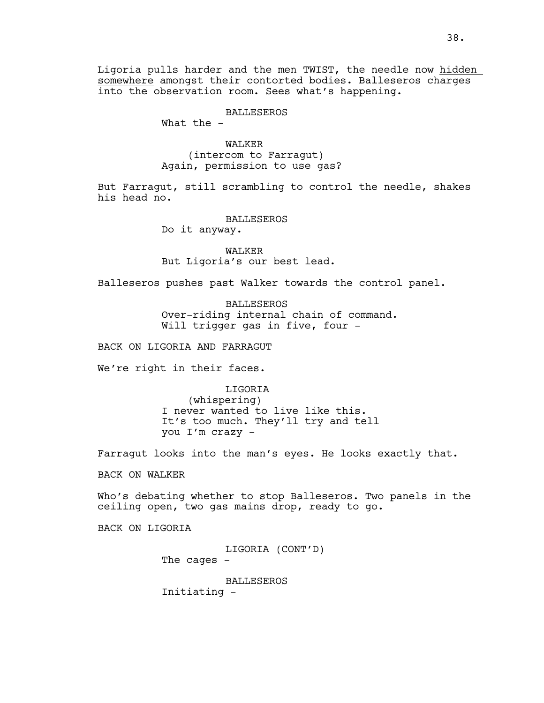Ligoria pulls harder and the men TWIST, the needle now hidden somewhere amongst their contorted bodies. Balleseros charges into the observation room. Sees what's happening.

## BALLESEROS

What the -

WALKER (intercom to Farragut) Again, permission to use gas?

But Farragut, still scrambling to control the needle, shakes his head no.

BALLESEROS

Do it anyway.

WALKER But Ligoria's our best lead.

Balleseros pushes past Walker towards the control panel.

BALLESEROS Over-riding internal chain of command. Will trigger gas in five, four -

BACK ON LIGORIA AND FARRAGUT

We're right in their faces.

LIGORIA (whispering) I never wanted to live like this. It's too much. They'll try and tell you I'm crazy -

Farragut looks into the man's eyes. He looks exactly that.

BACK ON WALKER

Who's debating whether to stop Balleseros. Two panels in the ceiling open, two gas mains drop, ready to go.

BACK ON LIGORIA

LIGORIA (CONT'D) The cages -

BALLESEROS

Initiating -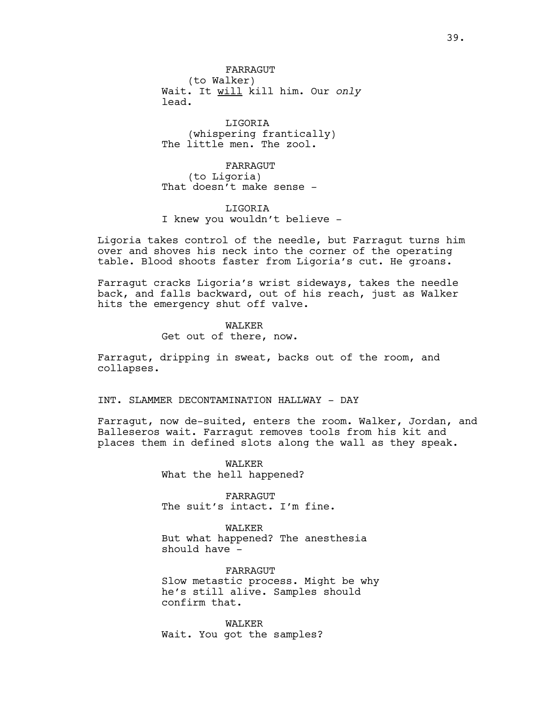FARRAGUT (to Walker) Wait. It will kill him. Our *only* lead.

LIGORIA (whispering frantically) The little men. The zool.

FARRAGUT (to Ligoria) That doesn't make sense -

LIGORIA I knew you wouldn't believe -

Ligoria takes control of the needle, but Farragut turns him over and shoves his neck into the corner of the operating table. Blood shoots faster from Ligoria's cut. He groans.

Farragut cracks Ligoria's wrist sideways, takes the needle back, and falls backward, out of his reach, just as Walker hits the emergency shut off valve.

> WALKER Get out of there, now.

Farragut, dripping in sweat, backs out of the room, and collapses.

INT. SLAMMER DECONTAMINATION HALLWAY - DAY

Farragut, now de-suited, enters the room. Walker, Jordan, and Balleseros wait. Farragut removes tools from his kit and places them in defined slots along the wall as they speak.

> WALKER What the hell happened?

FARRAGUT The suit's intact. I'm fine.

WALKER But what happened? The anesthesia should have -

FARRAGUT Slow metastic process. Might be why he's still alive. Samples should confirm that.

WALKER Wait. You got the samples?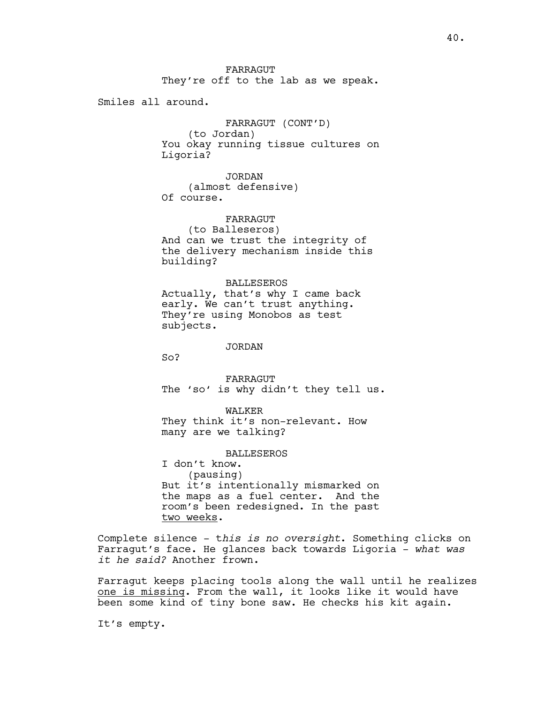FARRAGUT They're off to the lab as we speak.

Smiles all around.

FARRAGUT (CONT'D) (to Jordan) You okay running tissue cultures on Ligoria?

JORDAN (almost defensive) Of course.

# FARRAGUT

(to Balleseros) And can we trust the integrity of the delivery mechanism inside this building?

## BALLESEROS

Actually, that's why I came back early. We can't trust anything. They're using Monobos as test subjects.

#### JORDAN

So?

FARRAGUT The 'so' is why didn't they tell us.

### WALKER

They think it's non-relevant. How many are we talking?

## BALLESEROS

I don't know. (pausing) But it's intentionally mismarked on the maps as a fuel center. And the room's been redesigned. In the past two weeks.

Complete silence - t*his is no oversight*. Something clicks on Farragut's face. He glances back towards Ligoria - *what was it he said?* Another frown.

Farragut keeps placing tools along the wall until he realizes one is missing. From the wall, it looks like it would have been some kind of tiny bone saw. He checks his kit again.

It's empty.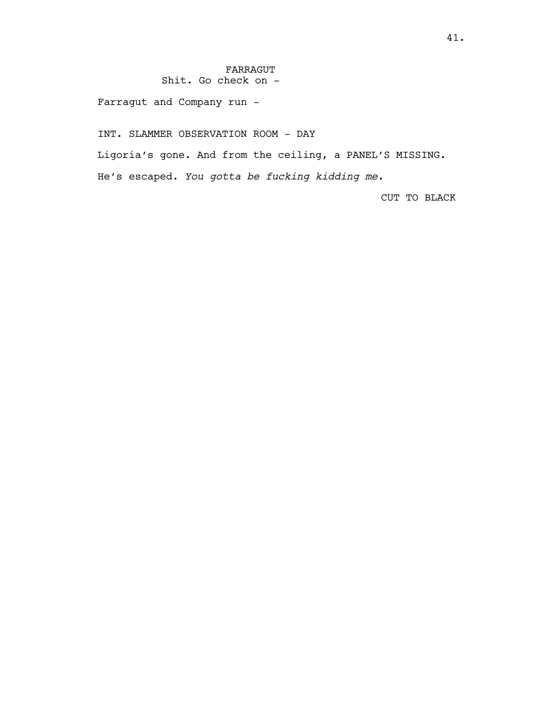## FARRAGUT

Shit. Go check on -

Farragut and Company run -

INT. SLAMMER OBSERVATION ROOM - DAY

Ligoria's gone. And from the ceiling, a PANEL'S MISSING.

He's escaped. *You gotta be fucking kidding me.*

CUT TO BLACK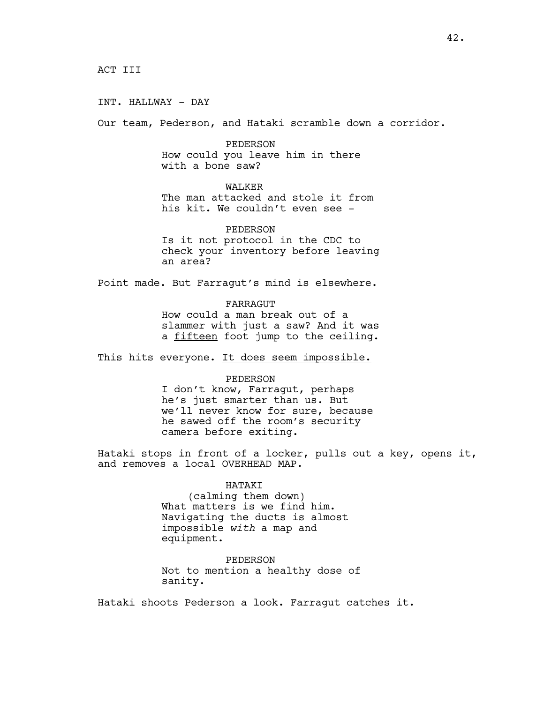INT. HALLWAY - DAY

Our team, Pederson, and Hataki scramble down a corridor.

PEDERSON How could you leave him in there with a bone saw?

## WALKER

The man attacked and stole it from his kit. We couldn't even see -

PEDERSON Is it not protocol in the CDC to check your inventory before leaving an area?

Point made. But Farragut's mind is elsewhere.

## FARRAGUT

How could a man break out of a slammer with just a saw? And it was a fifteen foot jump to the ceiling.

This hits everyone. It does seem impossible.

## PEDERSON

I don't know, Farragut, perhaps he's just smarter than us. But we'll never know for sure, because he sawed off the room's security camera before exiting.

Hataki stops in front of a locker, pulls out a key, opens it, and removes a local OVERHEAD MAP.

## HATAKI

(calming them down) What matters is we find him. Navigating the ducts is almost impossible *with* a map and equipment.

PEDERSON Not to mention a healthy dose of sanity.

Hataki shoots Pederson a look. Farragut catches it.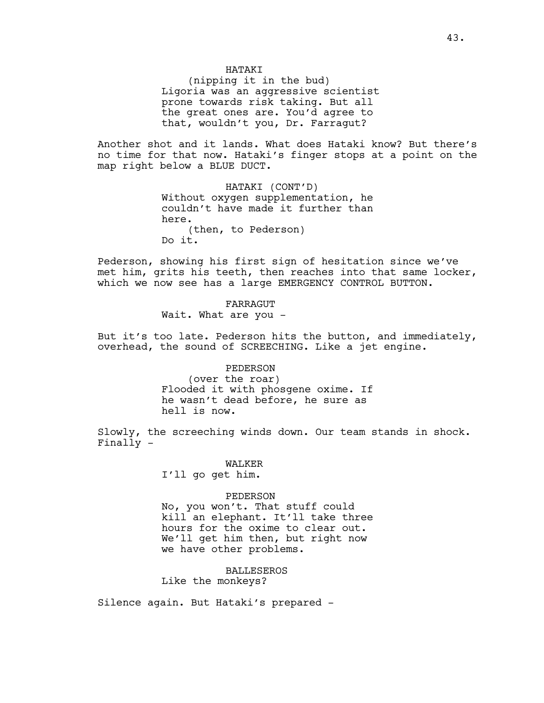(nipping it in the bud) Ligoria was an aggressive scientist prone towards risk taking. But all the great ones are. You'd agree to that, wouldn't you, Dr. Farragut?

Another shot and it lands. What does Hataki know? But there's no time for that now. Hataki's finger stops at a point on the map right below a BLUE DUCT.

> HATAKI (CONT'D) Without oxygen supplementation, he couldn't have made it further than here. (then, to Pederson) Do it.

Pederson, showing his first sign of hesitation since we've met him, grits his teeth, then reaches into that same locker, which we now see has a large EMERGENCY CONTROL BUTTON.

FARRAGUT

Wait. What are you -

But it's too late. Pederson hits the button, and immediately, overhead, the sound of SCREECHING. Like a jet engine.

# PEDERSON (over the roar) Flooded it with phosgene oxime. If he wasn't dead before, he sure as hell is now.

Slowly, the screeching winds down. Our team stands in shock. Finally -

## WALKER

I'll go get him.

### PEDERSON

No, you won't. That stuff could kill an elephant. It'll take three hours for the oxime to clear out. We'll get him then, but right now we have other problems.

# BALLESEROS

Like the monkeys?

Silence again. But Hataki's prepared -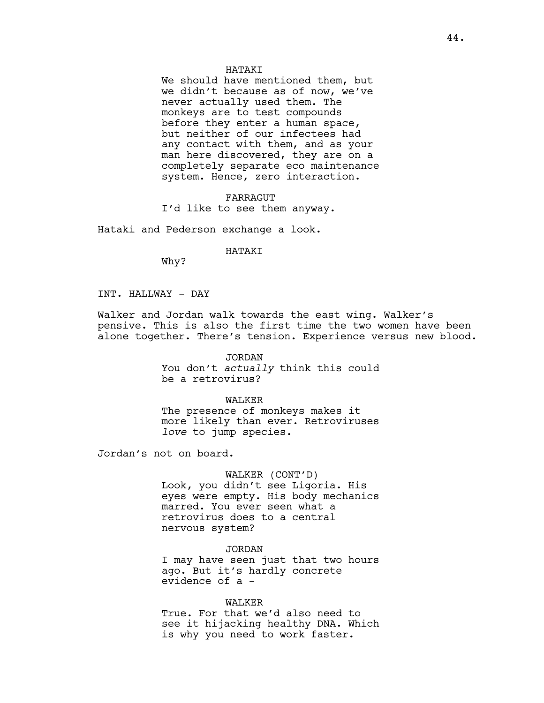#### HATAKI

We should have mentioned them, but we didn't because as of now, we've never actually used them. The monkeys are to test compounds before they enter a human space, but neither of our infectees had any contact with them, and as your man here discovered, they are on a completely separate eco maintenance system. Hence, zero interaction.

### FARRAGUT

I'd like to see them anyway.

Hataki and Pederson exchange a look.

HATAKI

Why?

INT. HALLWAY - DAY

Walker and Jordan walk towards the east wing. Walker's pensive. This is also the first time the two women have been alone together. There's tension. Experience versus new blood.

> JORDAN You don't *actually* think this could be a retrovirus?

> WALKER The presence of monkeys makes it more likely than ever. Retroviruses *love* to jump species.

Jordan's not on board.

#### WALKER (CONT'D)

Look, you didn't see Ligoria. His eyes were empty. His body mechanics marred. You ever seen what a retrovirus does to a central nervous system?

JORDAN I may have seen just that two hours ago. But it's hardly concrete evidence of a -

WALKER

True. For that we'd also need to see it hijacking healthy DNA. Which is why you need to work faster.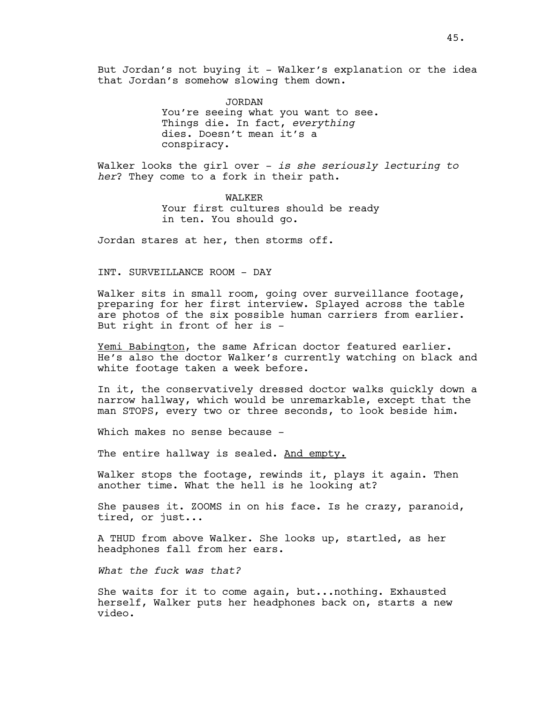But Jordan's not buying it - Walker's explanation or the idea that Jordan's somehow slowing them down.

> JORDAN You're seeing what you want to see. Things die. In fact, *everything* dies. Doesn't mean it's a conspiracy.

Walker looks the girl over - *is she seriously lecturing to her*? They come to a fork in their path.

> WALKER Your first cultures should be ready in ten. You should go.

Jordan stares at her, then storms off.

INT. SURVEILLANCE ROOM - DAY

Walker sits in small room, going over surveillance footage, preparing for her first interview. Splayed across the table are photos of the six possible human carriers from earlier. But right in front of her is -

Yemi Babington, the same African doctor featured earlier. He's also the doctor Walker's currently watching on black and white footage taken a week before.

In it, the conservatively dressed doctor walks quickly down a narrow hallway, which would be unremarkable, except that the man STOPS, every two or three seconds, to look beside him.

Which makes no sense because -

The entire hallway is sealed. And empty.

Walker stops the footage, rewinds it, plays it again. Then another time. What the hell is he looking at?

She pauses it. ZOOMS in on his face. Is he crazy, paranoid, tired, or just...

A THUD from above Walker. She looks up, startled, as her headphones fall from her ears.

*What the fuck was that?* 

She waits for it to come again, but...nothing. Exhausted herself, Walker puts her headphones back on, starts a new video.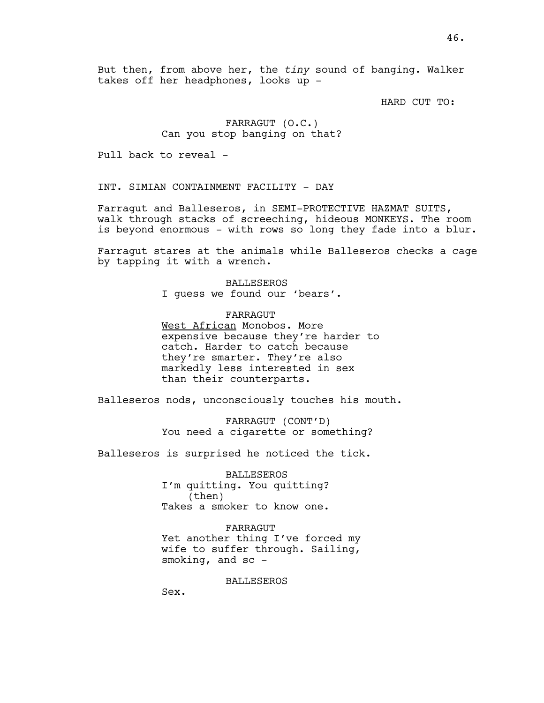But then, from above her, the *tiny* sound of banging. Walker takes off her headphones, looks up -

HARD CUT TO:

# FARRAGUT (O.C.) Can you stop banging on that?

Pull back to reveal -

INT. SIMIAN CONTAINMENT FACILITY - DAY

Farragut and Balleseros, in SEMI-PROTECTIVE HAZMAT SUITS, walk through stacks of screeching, hideous MONKEYS. The room is beyond enormous - with rows so long they fade into a blur.

Farragut stares at the animals while Balleseros checks a cage by tapping it with a wrench.

> BALLESEROS I guess we found our 'bears'.

FARRAGUT West African Monobos. More expensive because they're harder to catch. Harder to catch because they're smarter. They're also markedly less interested in sex than their counterparts.

Balleseros nods, unconsciously touches his mouth.

FARRAGUT (CONT'D) You need a cigarette or something?

Balleseros is surprised he noticed the tick.

BALLESEROS I'm quitting. You quitting? (then) Takes a smoker to know one.

FARRAGUT Yet another thing I've forced my wife to suffer through. Sailing, smoking, and sc -

BALLESEROS

Sex.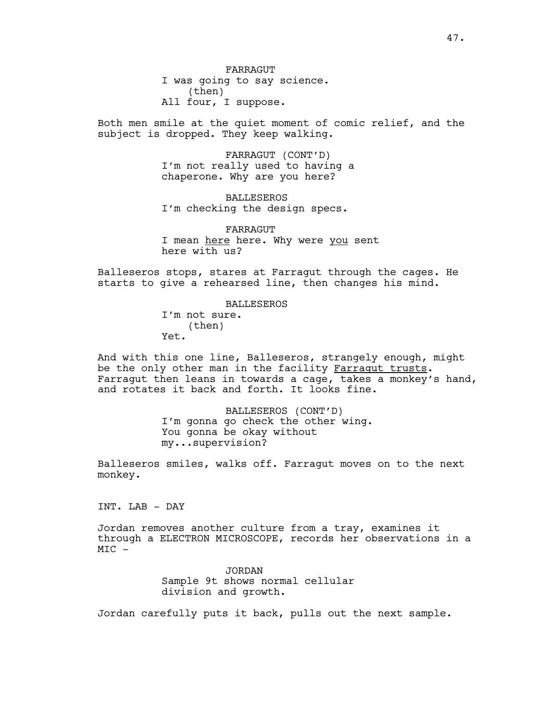Both men smile at the quiet moment of comic relief, and the subject is dropped. They keep walking.

> FARRAGUT (CONT'D) I'm not really used to having a chaperone. Why are you here?

BALLESEROS I'm checking the design specs.

FARRAGUT I mean here here. Why were you sent here with us?

Balleseros stops, stares at Farragut through the cages. He starts to give a rehearsed line, then changes his mind.

> BALLESEROS I'm not sure. (then) Yet.

And with this one line, Balleseros, strangely enough, might be the only other man in the facility Farragut trusts. Farragut then leans in towards a cage, takes a monkey's hand, and rotates it back and forth. It looks fine.

> BALLESEROS (CONT'D) I'm gonna go check the other wing. You gonna be okay without my...supervision?

Balleseros smiles, walks off. Farragut moves on to the next monkey.

INT. LAB - DAY

Jordan removes another culture from a tray, examines it through a ELECTRON MICROSCOPE, records her observations in a  $MIC -$ 

> JORDAN Sample 9t shows normal cellular division and growth.

Jordan carefully puts it back, pulls out the next sample.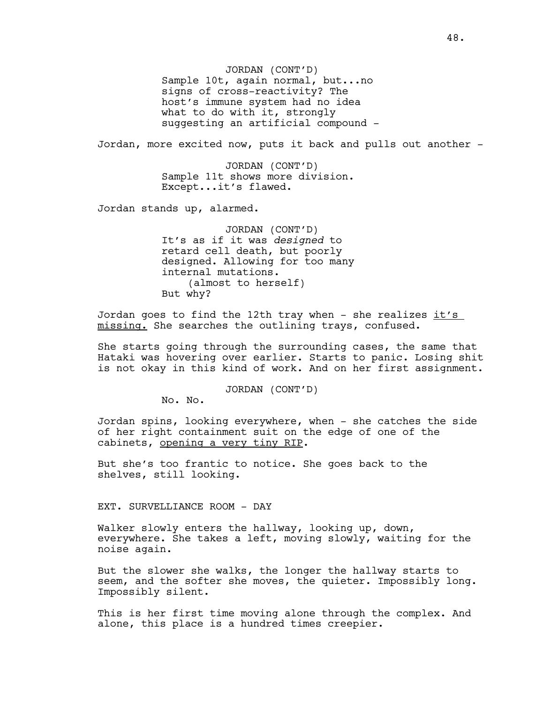JORDAN (CONT'D) Sample 10t, again normal, but...no signs of cross-reactivity? The host's immune system had no idea what to do with it, strongly suggesting an artificial compound -

Jordan, more excited now, puts it back and pulls out another -

JORDAN (CONT'D) Sample 11t shows more division. Except...it's flawed.

Jordan stands up, alarmed.

JORDAN (CONT'D) It's as if it was *designed* to retard cell death, but poorly designed. Allowing for too many internal mutations. (almost to herself) But why?

Jordan goes to find the 12th tray when - she realizes  $it's$ missing. She searches the outlining trays, confused.

She starts going through the surrounding cases, the same that Hataki was hovering over earlier. Starts to panic. Losing shit is not okay in this kind of work. And on her first assignment.

JORDAN (CONT'D)

No. No.

Jordan spins, looking everywhere, when - she catches the side of her right containment suit on the edge of one of the cabinets, opening a very tiny RIP.

But she's too frantic to notice. She goes back to the shelves, still looking.

EXT. SURVELLIANCE ROOM - DAY

Walker slowly enters the hallway, looking up, down, everywhere. She takes a left, moving slowly, waiting for the noise again.

But the slower she walks, the longer the hallway starts to seem, and the softer she moves, the quieter. Impossibly long. Impossibly silent.

This is her first time moving alone through the complex. And alone, this place is a hundred times creepier.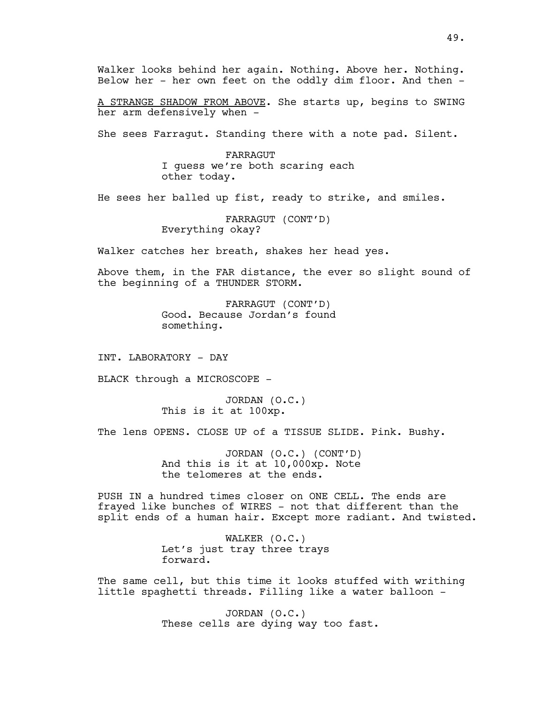Walker looks behind her again. Nothing. Above her. Nothing. Below her - her own feet on the oddly dim floor. And then -

A STRANGE SHADOW FROM ABOVE. She starts up, begins to SWING her arm defensively when -

She sees Farragut. Standing there with a note pad. Silent.

FARRAGUT I guess we're both scaring each other today.

He sees her balled up fist, ready to strike, and smiles.

FARRAGUT (CONT'D) Everything okay?

Walker catches her breath, shakes her head yes.

Above them, in the FAR distance, the ever so slight sound of the beginning of a THUNDER STORM.

> FARRAGUT (CONT'D) Good. Because Jordan's found something.

INT. LABORATORY - DAY

BLACK through a MICROSCOPE -

JORDAN (O.C.) This is it at 100xp.

The lens OPENS. CLOSE UP of a TISSUE SLIDE. Pink. Bushy.

JORDAN (O.C.) (CONT'D) And this is it at 10,000xp. Note the telomeres at the ends.

PUSH IN a hundred times closer on ONE CELL. The ends are frayed like bunches of WIRES - not that different than the split ends of a human hair. Except more radiant. And twisted.

> WALKER (O.C.) Let's just tray three trays forward.

The same cell, but this time it looks stuffed with writhing little spaghetti threads. Filling like a water balloon -

> JORDAN (O.C.) These cells are dying way too fast.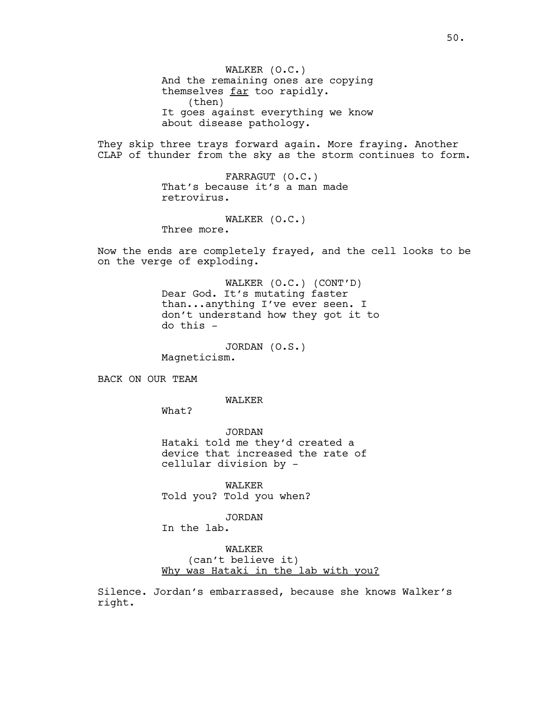WALKER (O.C.) And the remaining ones are copying themselves far too rapidly. (then) It goes against everything we know about disease pathology.

They skip three trays forward again. More fraying. Another CLAP of thunder from the sky as the storm continues to form.

> FARRAGUT (O.C.) That's because it's a man made retrovirus.

WALKER (O.C.) Three more.

Now the ends are completely frayed, and the cell looks to be on the verge of exploding.

> WALKER (O.C.) (CONT'D) Dear God. It's mutating faster than...anything I've ever seen. I don't understand how they got it to do this -

JORDAN (O.S.) Magneticism.

BACK ON OUR TEAM

WALKER

What?

JORDAN Hataki told me they'd created a device that increased the rate of cellular division by -

WALKER Told you? Told you when?

JORDAN

In the lab.

WALKER (can't believe it) Why was Hataki in the lab with you?

Silence. Jordan's embarrassed, because she knows Walker's right.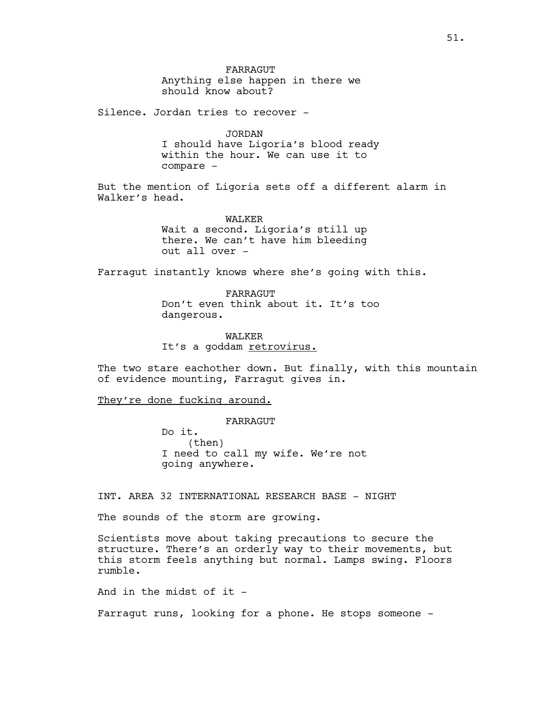Silence. Jordan tries to recover -

## JORDAN

I should have Ligoria's blood ready within the hour. We can use it to compare -

But the mention of Ligoria sets off a different alarm in Walker's head.

# WALKER

Wait a second. Ligoria's still up there. We can't have him bleeding out all over -

Farragut instantly knows where she's going with this.

FARRAGUT Don't even think about it. It's too dangerous.

WALKER It's a goddam retrovirus.

The two stare eachother down. But finally, with this mountain of evidence mounting, Farragut gives in.

They're done fucking around.

FARRAGUT

Do it. (then) I need to call my wife. We're not going anywhere.

INT. AREA 32 INTERNATIONAL RESEARCH BASE - NIGHT

The sounds of the storm are growing.

Scientists move about taking precautions to secure the structure. There's an orderly way to their movements, but this storm feels anything but normal. Lamps swing. Floors rumble.

And in the midst of it -

Farragut runs, looking for a phone. He stops someone -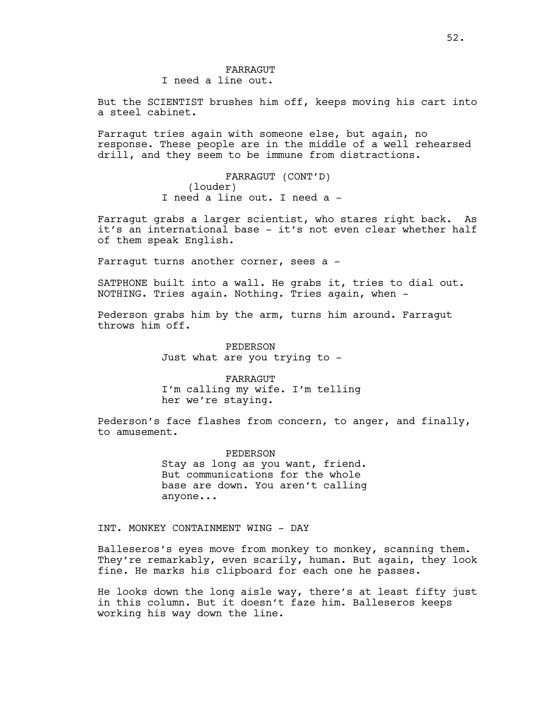But the SCIENTIST brushes him off, keeps moving his cart into a steel cabinet.

Farragut tries again with someone else, but again, no response. These people are in the middle of a well rehearsed drill, and they seem to be immune from distractions.

> FARRAGUT (CONT'D) (louder) I need a line out. I need a -

Farragut grabs a larger scientist, who stares right back. As it's an international base - it's not even clear whether half of them speak English.

Farragut turns another corner, sees a -

SATPHONE built into a wall. He grabs it, tries to dial out. NOTHING. Tries again. Nothing. Tries again, when -

Pederson grabs him by the arm, turns him around. Farragut throws him off.

> PEDERSON Just what are you trying to -

FARRAGUT I'm calling my wife. I'm telling her we're staying.

Pederson's face flashes from concern, to anger, and finally, to amusement.

PEDERSON

Stay as long as you want, friend. But communications for the whole base are down. You aren't calling anyone...

INT. MONKEY CONTAINMENT WING - DAY

Balleseros's eyes move from monkey to monkey, scanning them. They're remarkably, even scarily, human. But again, they look fine. He marks his clipboard for each one he passes.

He looks down the long aisle way, there's at least fifty just in this column. But it doesn't faze him. Balleseros keeps working his way down the line.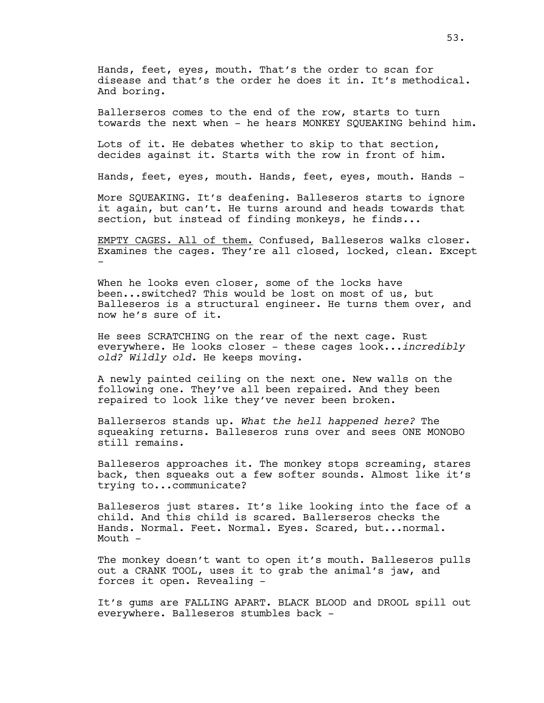Hands, feet, eyes, mouth. That's the order to scan for disease and that's the order he does it in. It's methodical. And boring.

Ballerseros comes to the end of the row, starts to turn towards the next when - he hears MONKEY SQUEAKING behind him.

Lots of it. He debates whether to skip to that section, decides against it. Starts with the row in front of him.

Hands, feet, eyes, mouth. Hands, feet, eyes, mouth. Hands -

More SQUEAKING. It's deafening. Balleseros starts to ignore it again, but can't. He turns around and heads towards that section, but instead of finding monkeys, he finds...

EMPTY CAGES. All of them. Confused, Balleseros walks closer. Examines the cages. They're all closed, locked, clean. Except -

When he looks even closer, some of the locks have been...switched? This would be lost on most of us, but Balleseros is a structural engineer. He turns them over, and now he's sure of it.

He sees SCRATCHING on the rear of the next cage. Rust everywhere. He looks closer - these cages look...*incredibly old? Wildly old.* He keeps moving.

A newly painted ceiling on the next one. New walls on the following one. They've all been repaired. And they been repaired to look like they've never been broken.

Ballerseros stands up. *What the hell happened here?* The squeaking returns. Balleseros runs over and sees ONE MONOBO still remains.

Balleseros approaches it. The monkey stops screaming, stares back, then squeaks out a few softer sounds. Almost like it's trying to...communicate?

Balleseros just stares. It's like looking into the face of a child. And this child is scared. Ballerseros checks the Hands. Normal. Feet. Normal. Eyes. Scared, but...normal. Mouth -

The monkey doesn't want to open it's mouth. Balleseros pulls out a CRANK TOOL, uses it to grab the animal's jaw, and forces it open. Revealing -

It's gums are FALLING APART. BLACK BLOOD and DROOL spill out everywhere. Balleseros stumbles back -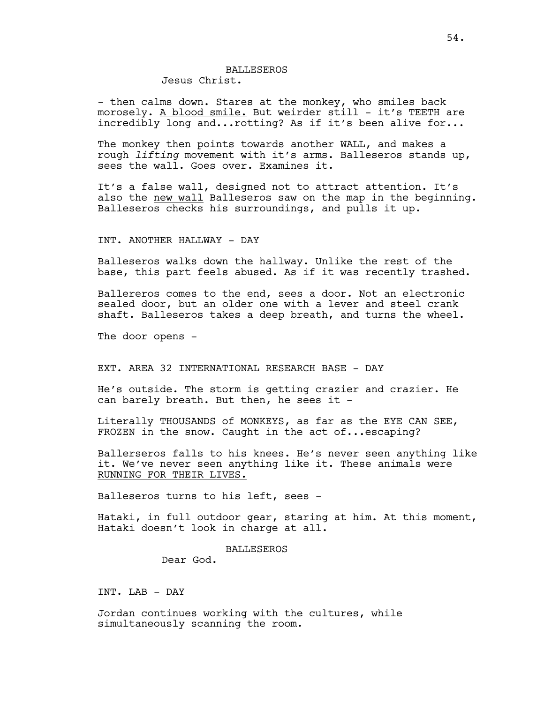## BALLESEROS

## Jesus Christ.

- then calms down. Stares at the monkey, who smiles back morosely. A blood smile. But weirder still - it's TEETH are incredibly long and...rotting? As if it's been alive for...

The monkey then points towards another WALL, and makes a rough *lifting* movement with it's arms. Balleseros stands up, sees the wall. Goes over. Examines it.

It's a false wall, designed not to attract attention. It's also the new wall Balleseros saw on the map in the beginning. Balleseros checks his surroundings, and pulls it up.

## INT. ANOTHER HALLWAY - DAY

Balleseros walks down the hallway. Unlike the rest of the base, this part feels abused. As if it was recently trashed.

Ballereros comes to the end, sees a door. Not an electronic sealed door, but an older one with a lever and steel crank shaft. Balleseros takes a deep breath, and turns the wheel.

The door opens -

## EXT. AREA 32 INTERNATIONAL RESEARCH BASE - DAY

He's outside. The storm is getting crazier and crazier. He can barely breath. But then, he sees it -

Literally THOUSANDS of MONKEYS, as far as the EYE CAN SEE, FROZEN in the snow. Caught in the act of...escaping?

Ballerseros falls to his knees. He's never seen anything like it. We've never seen anything like it. These animals were RUNNING FOR THEIR LIVES.

Balleseros turns to his left, sees -

Hataki, in full outdoor gear, staring at him. At this moment, Hataki doesn't look in charge at all.

**BALLESEROS** 

Dear God.

INT. LAB - DAY

Jordan continues working with the cultures, while simultaneously scanning the room.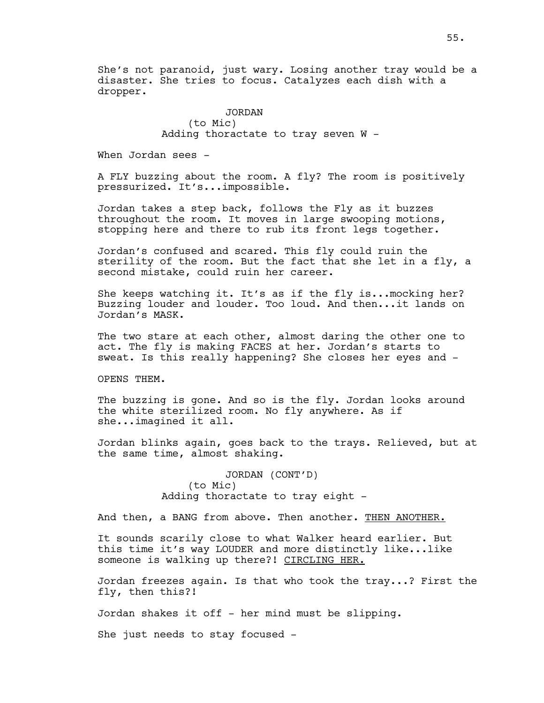She's not paranoid, just wary. Losing another tray would be a disaster. She tries to focus. Catalyzes each dish with a dropper.

> JORDAN (to Mic) Adding thoractate to tray seven W -

When Jordan sees -

A FLY buzzing about the room. A fly? The room is positively pressurized. It's...impossible.

Jordan takes a step back, follows the Fly as it buzzes throughout the room. It moves in large swooping motions, stopping here and there to rub its front legs together.

Jordan's confused and scared. This fly could ruin the sterility of the room. But the fact that she let in a fly, a second mistake, could ruin her career.

She keeps watching it. It's as if the fly is...mocking her? Buzzing louder and louder. Too loud. And then...it lands on Jordan's MASK.

The two stare at each other, almost daring the other one to act. The fly is making FACES at her. Jordan's starts to sweat. Is this really happening? She closes her eyes and -

OPENS THEM.

The buzzing is gone. And so is the fly. Jordan looks around the white sterilized room. No fly anywhere. As if she...imagined it all.

Jordan blinks again, goes back to the trays. Relieved, but at the same time, almost shaking.

> JORDAN (CONT'D) (to Mic) Adding thoractate to tray eight -

And then, a BANG from above. Then another. THEN ANOTHER.

It sounds scarily close to what Walker heard earlier. But this time it's way LOUDER and more distinctly like...like someone is walking up there?! CIRCLING HER.

Jordan freezes again. Is that who took the tray...? First the fly, then this?!

Jordan shakes it off - her mind must be slipping.

She just needs to stay focused -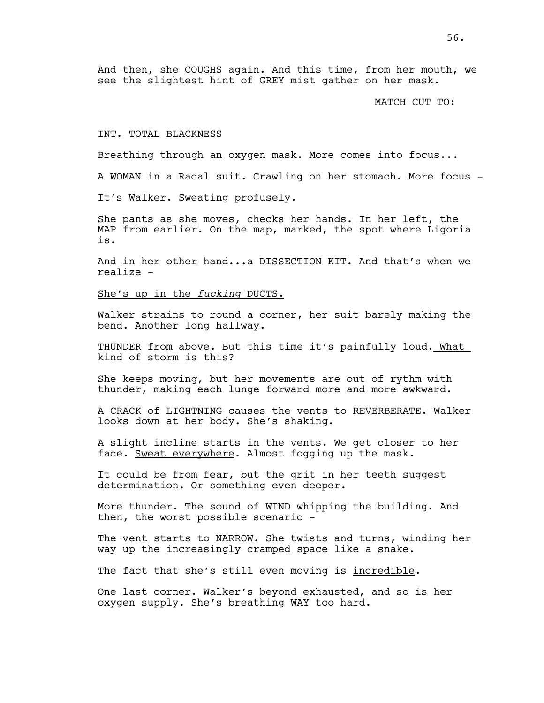And then, she COUGHS again. And this time, from her mouth, we see the slightest hint of GREY mist gather on her mask.

MATCH CUT TO:

## INT. TOTAL BLACKNESS

Breathing through an oxygen mask. More comes into focus...

A WOMAN in a Racal suit. Crawling on her stomach. More focus -

It's Walker. Sweating profusely.

She pants as she moves, checks her hands. In her left, the MAP from earlier. On the map, marked, the spot where Ligoria is.

And in her other hand...a DISSECTION KIT. And that's when we realize -

She's up in the *fucking* DUCTS.

Walker strains to round a corner, her suit barely making the bend. Another long hallway.

THUNDER from above. But this time it's painfully loud. What kind of storm is this?

She keeps moving, but her movements are out of rythm with thunder, making each lunge forward more and more awkward.

A CRACK of LIGHTNING causes the vents to REVERBERATE. Walker looks down at her body. She's shaking.

A slight incline starts in the vents. We get closer to her face. Sweat everywhere. Almost fogging up the mask.

It could be from fear, but the grit in her teeth suggest determination. Or something even deeper.

More thunder. The sound of WIND whipping the building. And then, the worst possible scenario -

The vent starts to NARROW. She twists and turns, winding her way up the increasingly cramped space like a snake.

The fact that she's still even moving is incredible.

One last corner. Walker's beyond exhausted, and so is her oxygen supply. She's breathing WAY too hard.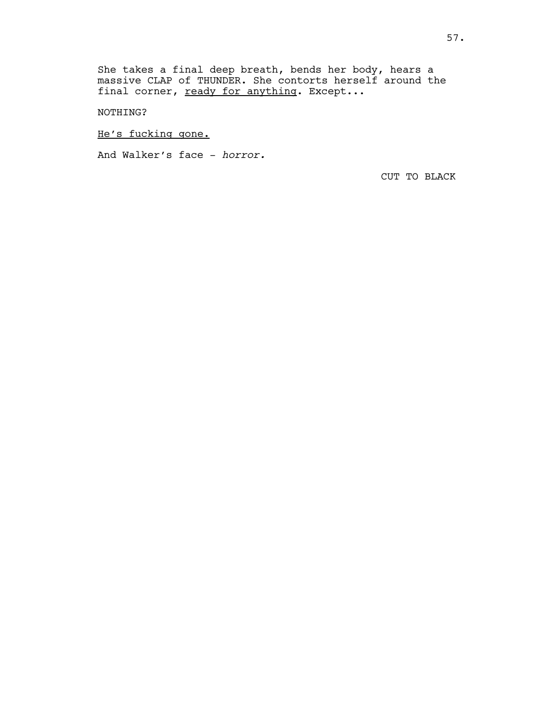She takes a final deep breath, bends her body, hears a massive CLAP of THUNDER. She contorts herself around the final corner, ready for anything. Except...

NOTHING?

He's fucking gone.

And Walker's face - *horror.*

CUT TO BLACK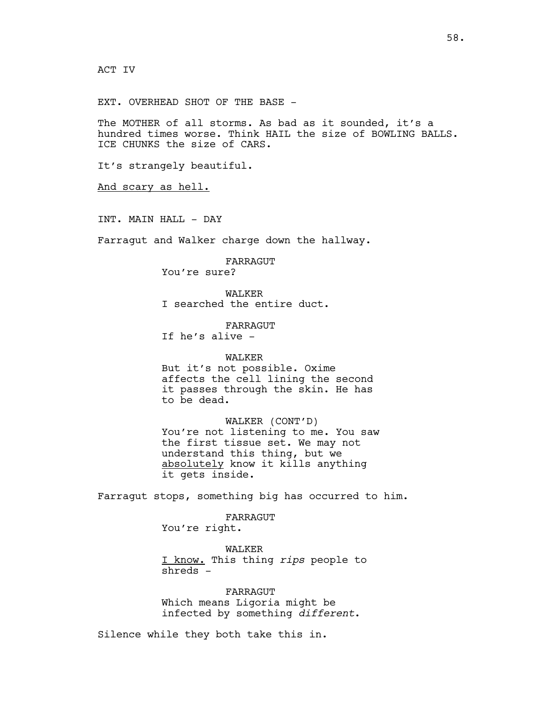EXT. OVERHEAD SHOT OF THE BASE -

The MOTHER of all storms. As bad as it sounded, it's a hundred times worse. Think HAIL the size of BOWLING BALLS. ICE CHUNKS the size of CARS.

It's strangely beautiful.

And scary as hell.

INT. MAIN HALL - DAY

Farragut and Walker charge down the hallway.

FARRAGUT You're sure?

WALKER I searched the entire duct.

FARRAGUT If he's alive -

WALKER But it's not possible. Oxime affects the cell lining the second it passes through the skin. He has to be dead.

WALKER (CONT'D) You're not listening to me. You saw the first tissue set. We may not understand this thing, but we absolutely know it kills anything it gets inside.

Farragut stops, something big has occurred to him.

FARRAGUT

You're right.

WALKER I know. This thing *rips* people to shreds -

FARRAGUT Which means Ligoria might be infected by something *different*.

Silence while they both take this in.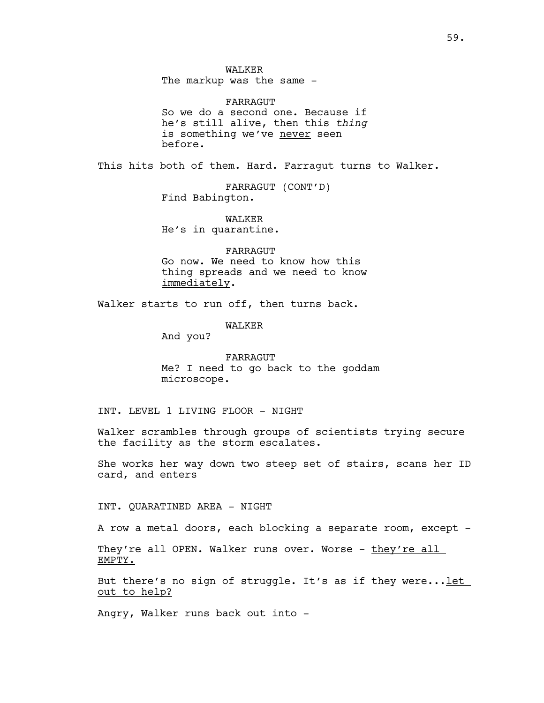WALKER The markup was the same -

FARRAGUT So we do a second one. Because if he's still alive, then this *thing*  is something we've never seen before.

This hits both of them. Hard. Farragut turns to Walker.

FARRAGUT (CONT'D) Find Babington.

WALKER He's in quarantine.

FARRAGUT Go now. We need to know how this thing spreads and we need to know immediately.

Walker starts to run off, then turns back.

WALKER

And you?

FARRAGUT Me? I need to go back to the goddam microscope.

INT. LEVEL 1 LIVING FLOOR - NIGHT

Walker scrambles through groups of scientists trying secure the facility as the storm escalates.

She works her way down two steep set of stairs, scans her ID card, and enters

INT. QUARATINED AREA - NIGHT

A row a metal doors, each blocking a separate room, except -

They're all OPEN. Walker runs over. Worse - they're all EMPTY.

But there's no sign of struggle. It's as if they were... let out to help?

Angry, Walker runs back out into -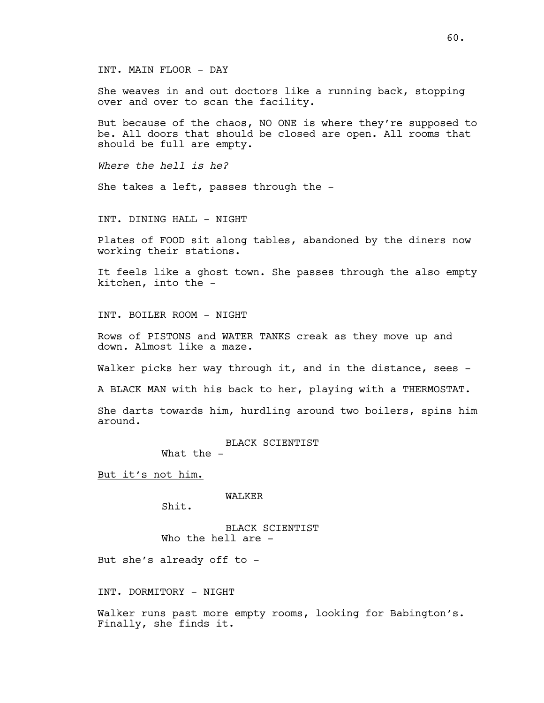INT. MAIN FLOOR - DAY

She weaves in and out doctors like a running back, stopping over and over to scan the facility.

But because of the chaos, NO ONE is where they're supposed to be. All doors that should be closed are open. All rooms that should be full are empty.

*Where the hell is he?*

She takes a left, passes through the -

INT. DINING HALL - NIGHT

Plates of FOOD sit along tables, abandoned by the diners now working their stations.

It feels like a ghost town. She passes through the also empty kitchen, into the -

INT. BOILER ROOM - NIGHT

Rows of PISTONS and WATER TANKS creak as they move up and down. Almost like a maze.

Walker picks her way through it, and in the distance, sees  $-$ 

A BLACK MAN with his back to her, playing with a THERMOSTAT.

She darts towards him, hurdling around two boilers, spins him around.

BLACK SCIENTIST

What the -

But it's not him.

WALKER

Shit.

BLACK SCIENTIST Who the hell are -

But she's already off to -

INT. DORMITORY - NIGHT

Walker runs past more empty rooms, looking for Babington's. Finally, she finds it.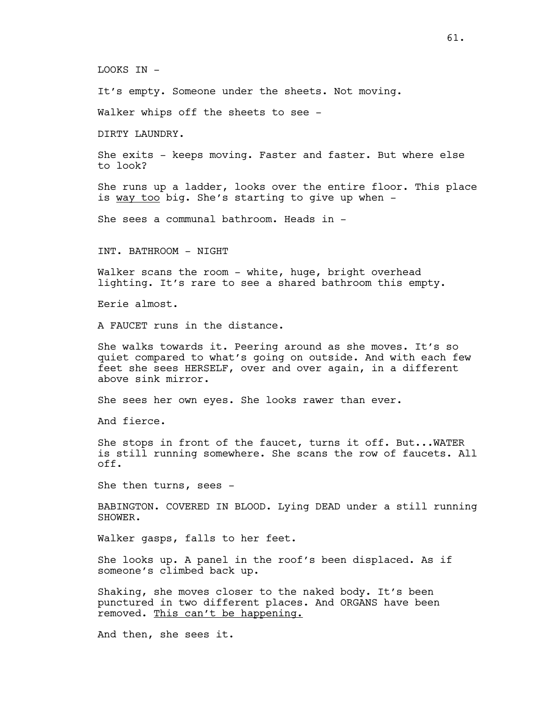LOOKS IN -

It's empty. Someone under the sheets. Not moving.

Walker whips off the sheets to see -

DIRTY LAUNDRY.

She exits - keeps moving. Faster and faster. But where else to look?

She runs up a ladder, looks over the entire floor. This place is way too big. She's starting to give up when -

She sees a communal bathroom. Heads in -

INT. BATHROOM - NIGHT

Walker scans the room - white, huge, bright overhead lighting. It's rare to see a shared bathroom this empty.

Eerie almost.

A FAUCET runs in the distance.

She walks towards it. Peering around as she moves. It's so quiet compared to what's going on outside. And with each few feet she sees HERSELF, over and over again, in a different above sink mirror.

She sees her own eyes. She looks rawer than ever.

And fierce.

She stops in front of the faucet, turns it off. But...WATER is still running somewhere. She scans the row of faucets. All off.

She then turns, sees -

BABINGTON. COVERED IN BLOOD. Lying DEAD under a still running SHOWER.

Walker gasps, falls to her feet.

She looks up. A panel in the roof's been displaced. As if someone's climbed back up.

Shaking, she moves closer to the naked body. It's been punctured in two different places. And ORGANS have been removed. This can't be happening.

And then, she sees it.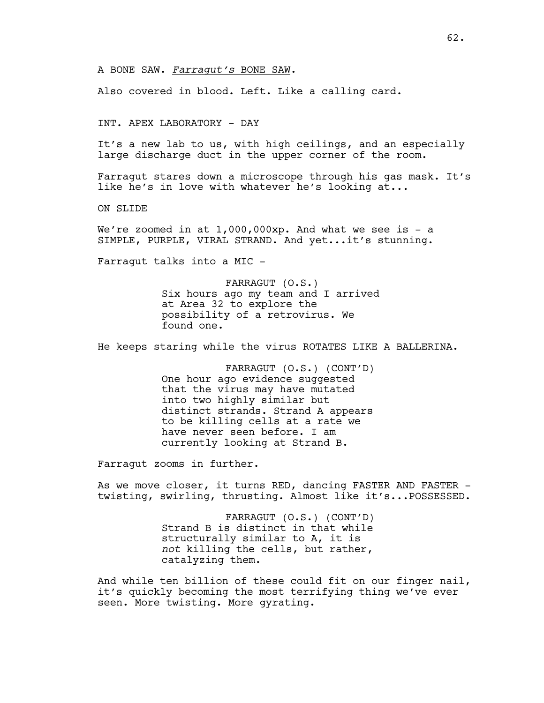A BONE SAW. *Farragut's* BONE SAW.

Also covered in blood. Left. Like a calling card.

INT. APEX LABORATORY - DAY

It's a new lab to us, with high ceilings, and an especially large discharge duct in the upper corner of the room.

Farragut stares down a microscope through his gas mask. It's like he's in love with whatever he's looking at...

ON SLIDE

We're zoomed in at  $1,000,000xp$ . And what we see is - a SIMPLE, PURPLE, VIRAL STRAND. And yet...it's stunning.

Farragut talks into a MIC -

FARRAGUT (O.S.) Six hours ago my team and I arrived at Area 32 to explore the possibility of a retrovirus. We found one.

He keeps staring while the virus ROTATES LIKE A BALLERINA.

FARRAGUT (O.S.) (CONT'D) One hour ago evidence suggested that the virus may have mutated into two highly similar but distinct strands. Strand A appears to be killing cells at a rate we have never seen before. I am currently looking at Strand B.

Farragut zooms in further.

As we move closer, it turns RED, dancing FASTER AND FASTER twisting, swirling, thrusting. Almost like it's...POSSESSED.

> FARRAGUT (O.S.) (CONT'D) Strand B is distinct in that while structurally similar to A, it is *not* killing the cells, but rather, catalyzing them.

And while ten billion of these could fit on our finger nail, it's quickly becoming the most terrifying thing we've ever seen. More twisting. More gyrating.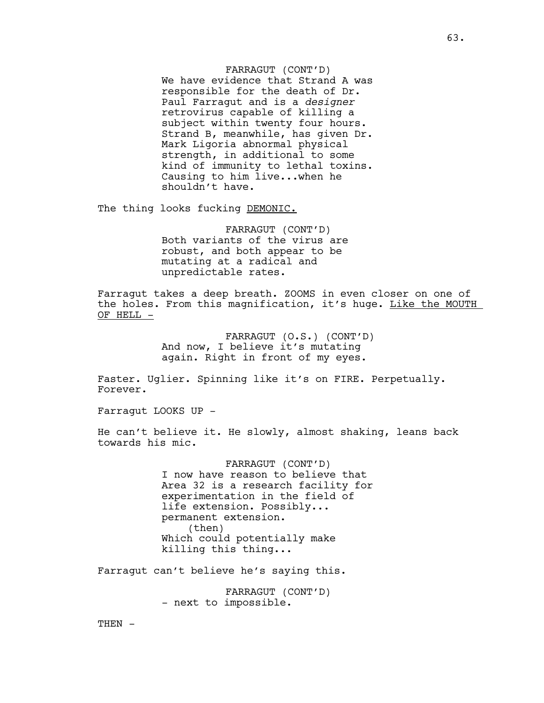FARRAGUT (CONT'D) We have evidence that Strand A was responsible for the death of Dr. Paul Farragut and is a *designer* retrovirus capable of killing a subject within twenty four hours. Strand B, meanwhile, has given Dr. Mark Ligoria abnormal physical strength, in additional to some kind of immunity to lethal toxins. Causing to him live...when he shouldn't have.

The thing looks fucking DEMONIC.

FARRAGUT (CONT'D) Both variants of the virus are robust, and both appear to be mutating at a radical and unpredictable rates.

Farragut takes a deep breath. ZOOMS in even closer on one of the holes. From this magnification, it's huge. Like the MOUTH OF HELL  $-$ 

> FARRAGUT (O.S.) (CONT'D) And now, I believe it's mutating again. Right in front of my eyes.

Faster. Uglier. Spinning like it's on FIRE. Perpetually. Forever.

Farragut LOOKS UP -

He can't believe it. He slowly, almost shaking, leans back towards his mic.

> FARRAGUT (CONT'D) I now have reason to believe that Area 32 is a research facility for experimentation in the field of life extension. Possibly... permanent extension. (then) Which could potentially make killing this thing...

Farragut can't believe he's saying this.

FARRAGUT (CONT'D) - next to impossible.

 $THEN -$